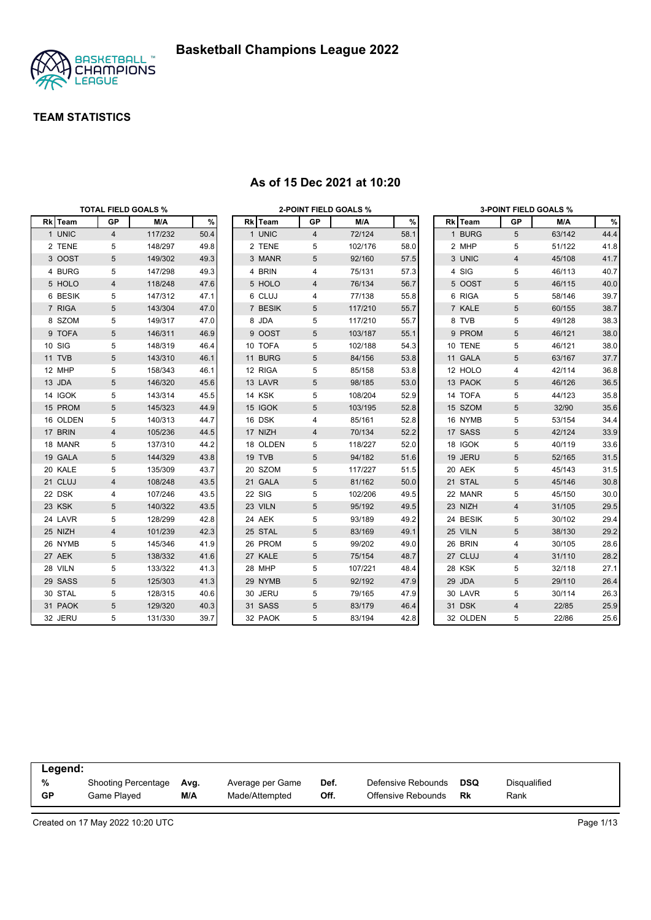

|          | TOTAL FIELD GOALS % |         |      |          |                | <b>2-POINT FIELD GOALS %</b> |      |          |                         | <b>3-POINT FIELD GOALS %</b> |      |
|----------|---------------------|---------|------|----------|----------------|------------------------------|------|----------|-------------------------|------------------------------|------|
| Rk Team  | GP                  | M/A     | $\%$ | Rk Team  | GP             | M/A                          | $\%$ | Rk Team  | GP                      | M/A                          | $\%$ |
| 1 UNIC   | $\overline{4}$      | 117/232 | 50.4 | 1 UNIC   | $\overline{4}$ | 72/124                       | 58.1 | 1 BURG   | 5                       | 63/142                       | 44.4 |
| 2 TENE   | 5                   | 148/297 | 49.8 | 2 TENE   | 5              | 102/176                      | 58.0 | 2 MHP    | 5                       | 51/122                       | 41.8 |
| 3 OOST   | 5                   | 149/302 | 49.3 | 3 MANR   | 5              | 92/160                       | 57.5 | 3 UNIC   | $\overline{4}$          | 45/108                       | 41.7 |
| 4 BURG   | 5                   | 147/298 | 49.3 | 4 BRIN   | 4              | 75/131                       | 57.3 | 4 SIG    | 5                       | 46/113                       | 40.7 |
| 5 HOLO   | 4                   | 118/248 | 47.6 | 5 HOLO   | 4              | 76/134                       | 56.7 | 5 OOST   | 5                       | 46/115                       | 40.0 |
| 6 BESIK  | 5                   | 147/312 | 47.1 | 6 CLUJ   | 4              | 77/138                       | 55.8 | 6 RIGA   | 5                       | 58/146                       | 39.7 |
| 7 RIGA   | 5                   | 143/304 | 47.0 | 7 BESIK  | 5              | 117/210                      | 55.7 | 7 KALE   | 5                       | 60/155                       | 38.7 |
| 8 SZOM   | 5                   | 149/317 | 47.0 | 8 JDA    | 5              | 117/210                      | 55.7 | 8 TVB    | 5                       | 49/128                       | 38.3 |
| 9 TOFA   | 5                   | 146/311 | 46.9 | 9 OOST   | 5              | 103/187                      | 55.1 | 9 PROM   | 5                       | 46/121                       | 38.0 |
| 10 SIG   | 5                   | 148/319 | 46.4 | 10 TOFA  | 5              | 102/188                      | 54.3 | 10 TENE  | 5                       | 46/121                       | 38.0 |
| 11 TVB   | 5                   | 143/310 | 46.1 | 11 BURG  | 5              | 84/156                       | 53.8 | 11 GALA  | 5                       | 63/167                       | 37.7 |
| 12 MHP   | 5                   | 158/343 | 46.1 | 12 RIGA  | 5              | 85/158                       | 53.8 | 12 HOLO  | 4                       | 42/114                       | 36.8 |
| 13 JDA   | 5                   | 146/320 | 45.6 | 13 LAVR  | 5              | 98/185                       | 53.0 | 13 PAOK  | 5                       | 46/126                       | 36.5 |
| 14 IGOK  | 5                   | 143/314 | 45.5 | 14 KSK   | 5              | 108/204                      | 52.9 | 14 TOFA  | 5                       | 44/123                       | 35.8 |
| 15 PROM  | 5                   | 145/323 | 44.9 | 15 IGOK  | 5              | 103/195                      | 52.8 | 15 SZOM  | 5                       | 32/90                        | 35.6 |
| 16 OLDEN | 5                   | 140/313 | 44.7 | 16 DSK   | 4              | 85/161                       | 52.8 | 16 NYMB  | 5                       | 53/154                       | 34.4 |
| 17 BRIN  | 4                   | 105/236 | 44.5 | 17 NIZH  | 4              | 70/134                       | 52.2 | 17 SASS  | 5                       | 42/124                       | 33.9 |
| 18 MANR  | 5                   | 137/310 | 44.2 | 18 OLDEN | 5              | 118/227                      | 52.0 | 18 IGOK  | 5                       | 40/119                       | 33.6 |
| 19 GALA  | 5                   | 144/329 | 43.8 | 19 TVB   | 5              | 94/182                       | 51.6 | 19 JERU  | 5                       | 52/165                       | 31.5 |
| 20 KALE  | 5                   | 135/309 | 43.7 | 20 SZOM  | 5              | 117/227                      | 51.5 | 20 AEK   | 5                       | 45/143                       | 31.5 |
| 21 CLUJ  | 4                   | 108/248 | 43.5 | 21 GALA  | 5              | 81/162                       | 50.0 | 21 STAL  | 5                       | 45/146                       | 30.8 |
| 22 DSK   | 4                   | 107/246 | 43.5 | 22 SIG   | 5              | 102/206                      | 49.5 | 22 MANR  | 5                       | 45/150                       | 30.0 |
| 23 KSK   | 5                   | 140/322 | 43.5 | 23 VILN  | 5              | 95/192                       | 49.5 | 23 NIZH  | $\overline{\mathbf{4}}$ | 31/105                       | 29.5 |
| 24 LAVR  | 5                   | 128/299 | 42.8 | 24 AEK   | 5              | 93/189                       | 49.2 | 24 BESIK | 5                       | 30/102                       | 29.4 |
| 25 NIZH  | 4                   | 101/239 | 42.3 | 25 STAL  | 5              | 83/169                       | 49.1 | 25 VILN  | 5                       | 38/130                       | 29.2 |
| 26 NYMB  | 5                   | 145/346 | 41.9 | 26 PROM  | 5              | 99/202                       | 49.0 | 26 BRIN  | 4                       | 30/105                       | 28.6 |
| 27 AEK   | 5                   | 138/332 | 41.6 | 27 KALE  | 5              | 75/154                       | 48.7 | 27 CLUJ  | $\overline{\mathbf{4}}$ | 31/110                       | 28.2 |
| 28 VILN  | 5                   | 133/322 | 41.3 | 28 MHP   | 5              | 107/221                      | 48.4 | 28 KSK   | 5                       | 32/118                       | 27.1 |
| 29 SASS  | 5                   | 125/303 | 41.3 | 29 NYMB  | 5              | 92/192                       | 47.9 | 29 JDA   | 5                       | 29/110                       | 26.4 |
| 30 STAL  | 5                   | 128/315 | 40.6 | 30 JERU  | 5              | 79/165                       | 47.9 | 30 LAVR  | 5                       | 30/114                       | 26.3 |
| 31 PAOK  | 5                   | 129/320 | 40.3 | 31 SASS  | 5              | 83/179                       | 46.4 | 31 DSK   | $\overline{4}$          | 22/85                        | 25.9 |
| 32 JERU  | 5                   | 131/330 | 39.7 | 32 PAOK  | 5              | 83/194                       | 42.8 | 32 OLDEN | 5                       | 22/86                        | 25.6 |

#### **As of 15 Dec 2021 at 10:20**

| %<br>Disqualified<br><b>DSQ</b><br>Defensive Rebounds<br><b>Shooting Percentage</b><br>Def.<br>Average per Game<br>Avg. | Legend:   |             |     |                |      |                    |    |      |
|-------------------------------------------------------------------------------------------------------------------------|-----------|-------------|-----|----------------|------|--------------------|----|------|
|                                                                                                                         | <b>GP</b> | Game Played | M/A | Made/Attempted | Off. | Offensive Rebounds | Rk | Rank |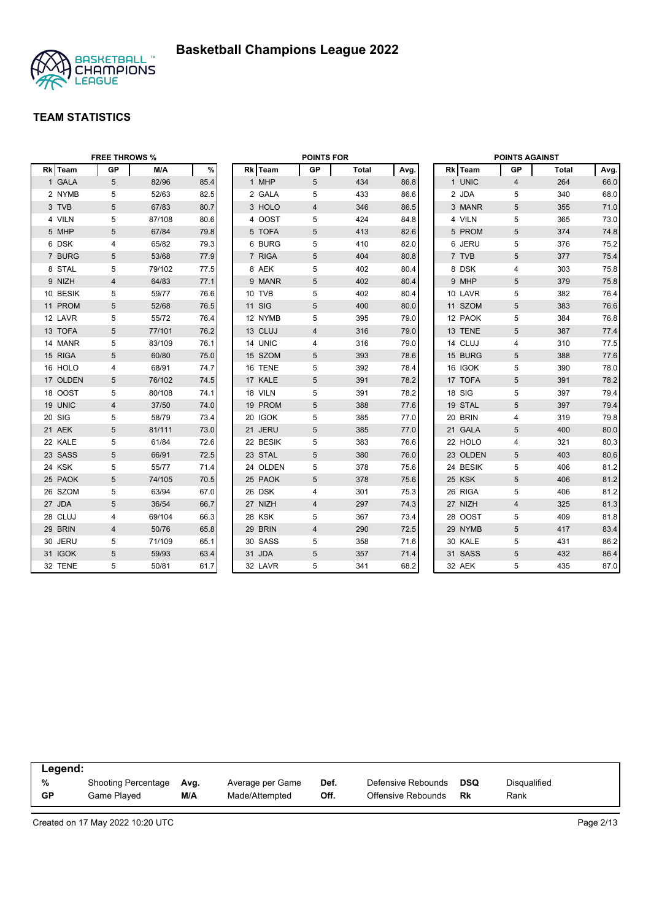

|          | <b>FREE THROWS %</b> |        |      |               | <b>POINTS FOR</b> |              |      |          | <b>POINTS AGAINST</b> |       |      |
|----------|----------------------|--------|------|---------------|-------------------|--------------|------|----------|-----------------------|-------|------|
| Rk Team  | <b>GP</b>            | M/A    | $\%$ | Rk Team       | <b>GP</b>         | <b>Total</b> | Avg. | Rk Team  | GP                    | Total | Avg. |
| 1 GALA   | 5                    | 82/96  | 85.4 | 1 MHP         | 5                 | 434          | 86.8 | 1 UNIC   | $\overline{4}$        | 264   | 66.0 |
| 2 NYMB   | 5                    | 52/63  | 82.5 | 2 GALA        | 5                 | 433          | 86.6 | 2 JDA    | 5                     | 340   | 68.0 |
| 3 TVB    | $5\phantom{.0}$      | 67/83  | 80.7 | 3 HOLO        | $\overline{4}$    | 346          | 86.5 | 3 MANR   | $5\phantom{.0}$       | 355   | 71.0 |
| 4 VILN   | 5                    | 87/108 | 80.6 | 4 OOST        | 5                 | 424          | 84.8 | 4 VILN   | 5                     | 365   | 73.0 |
| 5 MHP    | 5                    | 67/84  | 79.8 | 5 TOFA        | 5                 | 413          | 82.6 | 5 PROM   | $5\phantom{.0}$       | 374   | 74.8 |
| 6 DSK    | 4                    | 65/82  | 79.3 | 6 BURG        | 5                 | 410          | 82.0 | 6 JERU   | 5                     | 376   | 75.2 |
| 7 BURG   | 5                    | 53/68  | 77.9 | 7 RIGA        | 5                 | 404          | 80.8 | 7 TVB    | 5                     | 377   | 75.4 |
| 8 STAL   | 5                    | 79/102 | 77.5 | 8 AEK         | 5                 | 402          | 80.4 | 8 DSK    | $\overline{4}$        | 303   | 75.8 |
| 9 NIZH   | $\overline{4}$       | 64/83  | 77.1 | 9 MANR        | 5                 | 402          | 80.4 | 9 MHP    | 5                     | 379   | 75.8 |
| 10 BESIK | 5                    | 59/77  | 76.6 | 10 TVB        | 5                 | 402          | 80.4 | 10 LAVR  | 5                     | 382   | 76.4 |
| 11 PROM  | 5                    | 52/68  | 76.5 | <b>11 SIG</b> | 5                 | 400          | 80.0 | 11 SZOM  | 5                     | 383   | 76.6 |
| 12 LAVR  | 5                    | 55/72  | 76.4 | 12 NYMB       | 5                 | 395          | 79.0 | 12 PAOK  | 5                     | 384   | 76.8 |
| 13 TOFA  | 5                    | 77/101 | 76.2 | 13 CLUJ       | 4                 | 316          | 79.0 | 13 TENE  | 5                     | 387   | 77.4 |
| 14 MANR  | 5                    | 83/109 | 76.1 | 14 UNIC       | 4                 | 316          | 79.0 | 14 CLUJ  | $\overline{4}$        | 310   | 77.5 |
| 15 RIGA  | 5                    | 60/80  | 75.0 | 15 SZOM       | 5                 | 393          | 78.6 | 15 BURG  | 5                     | 388   | 77.6 |
| 16 HOLO  | 4                    | 68/91  | 74.7 | 16 TENE       | 5                 | 392          | 78.4 | 16 IGOK  | 5                     | 390   | 78.0 |
| 17 OLDEN | 5                    | 76/102 | 74.5 | 17 KALE       | 5                 | 391          | 78.2 | 17 TOFA  | $5\phantom{.0}$       | 391   | 78.2 |
| 18 OOST  | 5                    | 80/108 | 74.1 | 18 VILN       | 5                 | 391          | 78.2 | 18 SIG   | 5                     | 397   | 79.4 |
| 19 UNIC  | $\overline{4}$       | 37/50  | 74.0 | 19 PROM       | 5                 | 388          | 77.6 | 19 STAL  | 5                     | 397   | 79.4 |
| 20 SIG   | 5                    | 58/79  | 73.4 | 20 IGOK       | 5                 | 385          | 77.0 | 20 BRIN  | 4                     | 319   | 79.8 |
| 21 AEK   | 5                    | 81/111 | 73.0 | 21 JERU       | 5                 | 385          | 77.0 | 21 GALA  | 5                     | 400   | 80.0 |
| 22 KALE  | 5                    | 61/84  | 72.6 | 22 BESIK      | 5                 | 383          | 76.6 | 22 HOLO  | $\overline{4}$        | 321   | 80.3 |
| 23 SASS  | $5\phantom{.0}$      | 66/91  | 72.5 | 23 STAL       | 5                 | 380          | 76.0 | 23 OLDEN | $5\phantom{.0}$       | 403   | 80.6 |
| 24 KSK   | 5                    | 55/77  | 71.4 | 24 OLDEN      | 5                 | 378          | 75.6 | 24 BESIK | 5                     | 406   | 81.2 |
| 25 PAOK  | 5                    | 74/105 | 70.5 | 25 PAOK       | 5                 | 378          | 75.6 | 25 KSK   | 5                     | 406   | 81.2 |
| 26 SZOM  | 5                    | 63/94  | 67.0 | 26 DSK        | 4                 | 301          | 75.3 | 26 RIGA  | 5                     | 406   | 81.2 |
| 27 JDA   | 5                    | 36/54  | 66.7 | 27 NIZH       | $\overline{4}$    | 297          | 74.3 | 27 NIZH  | $\overline{4}$        | 325   | 81.3 |
| 28 CLUJ  | 4                    | 69/104 | 66.3 | 28 KSK        | 5                 | 367          | 73.4 | 28 OOST  | 5                     | 409   | 81.8 |
| 29 BRIN  | 4                    | 50/76  | 65.8 | 29 BRIN       | 4                 | 290          | 72.5 | 29 NYMB  | 5                     | 417   | 83.4 |
| 30 JERU  | 5                    | 71/109 | 65.1 | 30 SASS       | 5                 | 358          | 71.6 | 30 KALE  | 5                     | 431   | 86.2 |
| 31 IGOK  | 5                    | 59/93  | 63.4 | 31 JDA        | 5                 | 357          | 71.4 | 31 SASS  | 5                     | 432   | 86.4 |
| 32 TENE  | 5                    | 50/81  | 61.7 | 32 LAVR       | 5                 | 341          | 68.2 | 32 AEK   | 5                     | 435   | 87.0 |

| Legend:   |                            |      |                  |      |                    |            |              |  |
|-----------|----------------------------|------|------------------|------|--------------------|------------|--------------|--|
| %         | <b>Shooting Percentage</b> | Avg. | Average per Game | Def. | Defensive Rebounds | <b>DSQ</b> | Disqualified |  |
| <b>GP</b> | Game Played                | M/A  | Made/Attempted   | Off. | Offensive Rebounds | Rk         | Rank         |  |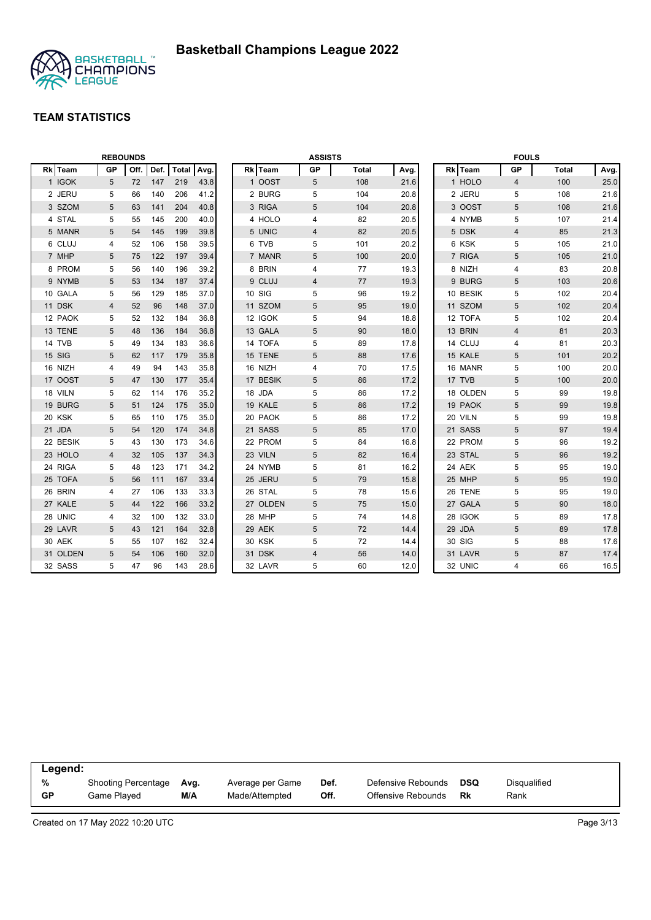

|          |           | <b>REBOUNDS</b> |      |              |      |          | <b>ASSISTS</b> |              |      |          | <b>FOULS</b>   |              |      |
|----------|-----------|-----------------|------|--------------|------|----------|----------------|--------------|------|----------|----------------|--------------|------|
| Rk Team  | <b>GP</b> | Off.            | Def. | <b>Total</b> | Avg. | Rk Team  | <b>GP</b>      | <b>Total</b> | Avg. | Rk Team  | <b>GP</b>      | <b>Total</b> | Avg. |
| 1 IGOK   | 5         | 72              | 147  | 219          | 43.8 | 1 OOST   | 5              | 108          | 21.6 | 1 HOLO   | $\overline{4}$ | 100          | 25.0 |
| 2 JERU   | 5         | 66              | 140  | 206          | 41.2 | 2 BURG   | 5              | 104          | 20.8 | 2 JERU   | 5              | 108          | 21.6 |
| 3 SZOM   | 5         | 63              | 141  | 204          | 40.8 | 3 RIGA   | 5              | 104          | 20.8 | 3 OOST   | 5              | 108          | 21.6 |
| 4 STAL   | 5         | 55              | 145  | 200          | 40.0 | 4 HOLO   | 4              | 82           | 20.5 | 4 NYMB   | 5              | 107          | 21.4 |
| 5 MANR   | 5         | 54              | 145  | 199          | 39.8 | 5 UNIC   | 4              | 82           | 20.5 | 5 DSK    | $\overline{4}$ | 85           | 21.3 |
| 6 CLUJ   | 4         | 52              | 106  | 158          | 39.5 | 6 TVB    | 5              | 101          | 20.2 | 6 KSK    | 5              | 105          | 21.0 |
| 7 MHP    | 5         | 75              | 122  | 197          | 39.4 | 7 MANR   | 5              | 100          | 20.0 | 7 RIGA   | 5              | 105          | 21.0 |
| 8 PROM   | 5         | 56              | 140  | 196          | 39.2 | 8 BRIN   | 4              | 77           | 19.3 | 8 NIZH   | $\overline{4}$ | 83           | 20.8 |
| 9 NYMB   | 5         | 53              | 134  | 187          | 37.4 | 9 CLUJ   | 4              | 77           | 19.3 | 9 BURG   | 5              | 103          | 20.6 |
| 10 GALA  | 5         | 56              | 129  | 185          | 37.0 | 10 SIG   | 5              | 96           | 19.2 | 10 BESIK | 5              | 102          | 20.4 |
| 11 DSK   | 4         | 52              | 96   | 148          | 37.0 | 11 SZOM  | 5              | 95           | 19.0 | 11 SZOM  | 5              | 102          | 20.4 |
| 12 PAOK  | 5         | 52              | 132  | 184          | 36.8 | 12 IGOK  | 5              | 94           | 18.8 | 12 TOFA  | 5              | 102          | 20.4 |
| 13 TENE  | 5         | 48              | 136  | 184          | 36.8 | 13 GALA  | 5              | 90           | 18.0 | 13 BRIN  | 4              | 81           | 20.3 |
| 14 TVB   | 5         | 49              | 134  | 183          | 36.6 | 14 TOFA  | 5              | 89           | 17.8 | 14 CLUJ  | 4              | 81           | 20.3 |
| 15 SIG   | 5         | 62              | 117  | 179          | 35.8 | 15 TENE  | 5              | 88           | 17.6 | 15 KALE  | 5              | 101          | 20.2 |
| 16 NIZH  | 4         | 49              | 94   | 143          | 35.8 | 16 NIZH  | 4              | 70           | 17.5 | 16 MANR  | 5              | 100          | 20.0 |
| 17 OOST  | 5         | 47              | 130  | 177          | 35.4 | 17 BESIK | 5              | 86           | 17.2 | 17 TVB   | 5              | 100          | 20.0 |
| 18 VILN  | 5         | 62              | 114  | 176          | 35.2 | 18 JDA   | 5              | 86           | 17.2 | 18 OLDEN | 5              | 99           | 19.8 |
| 19 BURG  | 5         | 51              | 124  | 175          | 35.0 | 19 KALE  | 5              | 86           | 17.2 | 19 PAOK  | 5              | 99           | 19.8 |
| 20 KSK   | 5         | 65              | 110  | 175          | 35.0 | 20 PAOK  | 5              | 86           | 17.2 | 20 VILN  | 5              | 99           | 19.8 |
| 21 JDA   | 5         | 54              | 120  | 174          | 34.8 | 21 SASS  | $\sqrt{5}$     | 85           | 17.0 | 21 SASS  | $\overline{5}$ | 97           | 19.4 |
| 22 BESIK | 5         | 43              | 130  | 173          | 34.6 | 22 PROM  | 5              | 84           | 16.8 | 22 PROM  | 5              | 96           | 19.2 |
| 23 HOLO  | 4         | 32              | 105  | 137          | 34.3 | 23 VILN  | 5              | 82           | 16.4 | 23 STAL  | 5              | 96           | 19.2 |
| 24 RIGA  | 5         | 48              | 123  | 171          | 34.2 | 24 NYMB  | 5              | 81           | 16.2 | 24 AEK   | 5              | 95           | 19.0 |
| 25 TOFA  | 5         | 56              | 111  | 167          | 33.4 | 25 JERU  | 5              | 79           | 15.8 | 25 MHP   | 5              | 95           | 19.0 |
| 26 BRIN  | 4         | 27              | 106  | 133          | 33.3 | 26 STAL  | 5              | 78           | 15.6 | 26 TENE  | 5              | 95           | 19.0 |
| 27 KALE  | 5         | 44              | 122  | 166          | 33.2 | 27 OLDEN | 5              | 75           | 15.0 | 27 GALA  | 5              | 90           | 18.0 |
| 28 UNIC  | 4         | 32              | 100  | 132          | 33.0 | 28 MHP   | 5              | 74           | 14.8 | 28 IGOK  | 5              | 89           | 17.8 |
| 29 LAVR  | 5         | 43              | 121  | 164          | 32.8 | 29 AEK   | 5              | 72           | 14.4 | 29 JDA   | 5              | 89           | 17.8 |
| 30 AEK   | 5         | 55              | 107  | 162          | 32.4 | 30 KSK   | 5              | 72           | 14.4 | 30 SIG   | 5              | 88           | 17.6 |
| 31 OLDEN | 5         | 54              | 106  | 160          | 32.0 | 31 DSK   | 4              | 56           | 14.0 | 31 LAVR  | 5              | 87           | 17.4 |
| 32 SASS  | 5         | 47              | 96   | 143          | 28.6 | 32 LAVR  | 5              | 60           | 12.0 | 32 UNIC  | $\overline{4}$ | 66           | 16.5 |

| Legend:   |                     |      |                  |      |                    |            |              |
|-----------|---------------------|------|------------------|------|--------------------|------------|--------------|
| %         | Shooting Percentage | Avg. | Average per Game | Def. | Defensive Rebounds | <b>DSQ</b> | Disgualified |
| <b>GP</b> | Game Plaved         | M/A  | Made/Attempted   | Off. | Offensive Rebounds | Rk         | Rank         |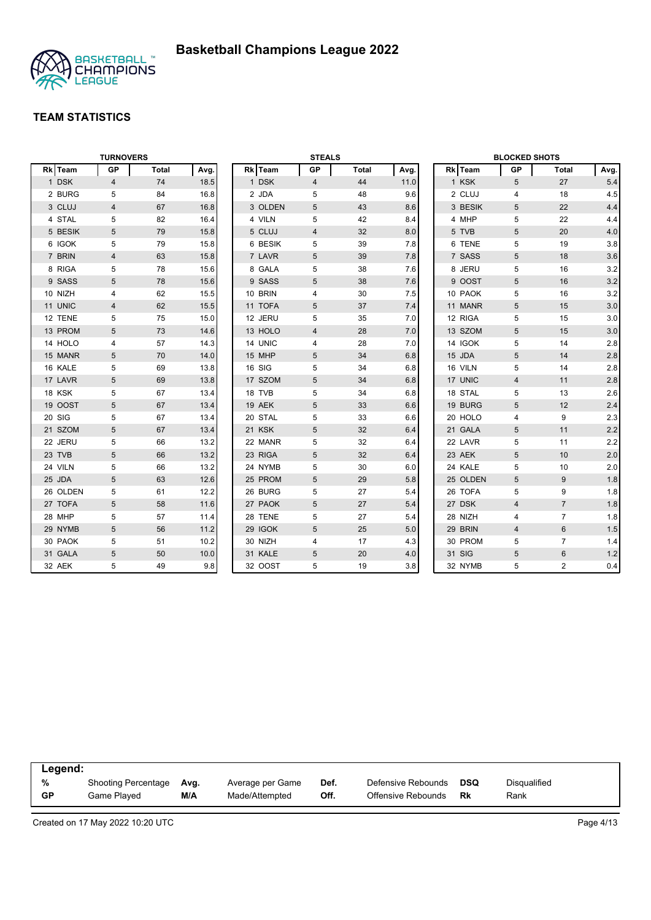

|          | <b>TURNOVERS</b> |       |      |         | <b>STEALS</b>  |       |      |          | <b>BLOCKED SHOTS</b> |                |         |
|----------|------------------|-------|------|---------|----------------|-------|------|----------|----------------------|----------------|---------|
| Rk Team  | <b>GP</b>        | Total | Avg. | Rk Team | GP             | Total | Avg. | Rk Team  | <b>GP</b>            | <b>Total</b>   | Avg.    |
| 1 DSK    | 4                | 74    | 18.5 | 1 DSK   | $\overline{4}$ | 44    | 11.0 | 1 KSK    | 5                    | 27             | 5.4     |
| 2 BURG   | 5                | 84    | 16.8 | 2 JDA   | 5              | 48    | 9.6  | 2 CLUJ   | $\overline{4}$       | 18             | 4.5     |
| 3 CLUJ   | 4                | 67    | 16.8 | 3 OLDEN | 5              | 43    | 8.6  | 3 BESIK  | 5                    | 22             | 4.4     |
| 4 STAL   | 5                | 82    | 16.4 | 4 VILN  | 5              | 42    | 8.4  | 4 MHP    | 5                    | 22             | 4.4     |
| 5 BESIK  | 5                | 79    | 15.8 | 5 CLUJ  | 4              | 32    | 8.0  | 5 TVB    | 5                    | 20             | 4.0     |
| 6 IGOK   | 5                | 79    | 15.8 | 6 BESIK | 5              | 39    | 7.8  | 6 TENE   | 5                    | 19             | 3.8     |
| 7 BRIN   | $\overline{4}$   | 63    | 15.8 | 7 LAVR  | 5              | 39    | 7.8  | 7 SASS   | 5                    | 18             | 3.6     |
| 8 RIGA   | 5                | 78    | 15.6 | 8 GALA  | 5              | 38    | 7.6  | 8 JERU   | 5                    | 16             | 3.2     |
| 9 SASS   | 5                | 78    | 15.6 | 9 SASS  | 5              | 38    | 7.6  | 9 OOST   | 5                    | 16             | 3.2     |
| 10 NIZH  | 4                | 62    | 15.5 | 10 BRIN | 4              | 30    | 7.5  | 10 PAOK  | 5                    | 16             | 3.2     |
| 11 UNIC  | 4                | 62    | 15.5 | 11 TOFA | 5              | 37    | 7.4  | 11 MANR  | 5                    | 15             | 3.0     |
| 12 TENE  | 5                | 75    | 15.0 | 12 JERU | 5              | 35    | 7.0  | 12 RIGA  | 5                    | 15             | 3.0     |
| 13 PROM  | $\sqrt{5}$       | 73    | 14.6 | 13 HOLO | $\overline{4}$ | 28    | 7.0  | 13 SZOM  | 5                    | 15             | 3.0     |
| 14 HOLO  | $\overline{4}$   | 57    | 14.3 | 14 UNIC | 4              | 28    | 7.0  | 14 IGOK  | 5                    | 14             | 2.8     |
| 15 MANR  | 5                | 70    | 14.0 | 15 MHP  | 5              | 34    | 6.8  | 15 JDA   | 5                    | 14             | $2.8\,$ |
| 16 KALE  | 5                | 69    | 13.8 | 16 SIG  | 5              | 34    | 6.8  | 16 VILN  | 5                    | 14             | 2.8     |
| 17 LAVR  | 5                | 69    | 13.8 | 17 SZOM | 5              | 34    | 6.8  | 17 UNIC  | $\overline{4}$       | 11             | 2.8     |
| 18 KSK   | 5                | 67    | 13.4 | 18 TVB  | 5              | 34    | 6.8  | 18 STAL  | 5                    | 13             | 2.6     |
| 19 OOST  | 5                | 67    | 13.4 | 19 AEK  | 5              | 33    | 6.6  | 19 BURG  | 5                    | 12             | 2.4     |
| 20 SIG   | 5                | 67    | 13.4 | 20 STAL | 5              | 33    | 6.6  | 20 HOLO  | 4                    | 9              | 2.3     |
| 21 SZOM  | 5                | 67    | 13.4 | 21 KSK  | 5              | 32    | 6.4  | 21 GALA  | 5                    | 11             | 2.2     |
| 22 JERU  | 5                | 66    | 13.2 | 22 MANR | 5              | 32    | 6.4  | 22 LAVR  | 5                    | 11             | 2.2     |
| 23 TVB   | $\sqrt{5}$       | 66    | 13.2 | 23 RIGA | 5              | 32    | 6.4  | 23 AEK   | 5                    | 10             | 2.0     |
| 24 VILN  | 5                | 66    | 13.2 | 24 NYMB | 5              | 30    | 6.0  | 24 KALE  | 5                    | 10             | 2.0     |
| 25 JDA   | 5                | 63    | 12.6 | 25 PROM | 5              | 29    | 5.8  | 25 OLDEN | 5                    | 9              | 1.8     |
| 26 OLDEN | 5                | 61    | 12.2 | 26 BURG | 5              | 27    | 5.4  | 26 TOFA  | 5                    | 9              | 1.8     |
| 27 TOFA  | 5                | 58    | 11.6 | 27 PAOK | 5              | 27    | 5.4  | 27 DSK   | $\overline{4}$       | $\overline{7}$ | 1.8     |
| 28 MHP   | 5                | 57    | 11.4 | 28 TENE | 5              | 27    | 5.4  | 28 NIZH  | 4                    | $\overline{7}$ | 1.8     |
| 29 NYMB  | 5                | 56    | 11.2 | 29 IGOK | 5              | 25    | 5.0  | 29 BRIN  | $\overline{4}$       | 6              | 1.5     |
| 30 PAOK  | 5                | 51    | 10.2 | 30 NIZH | 4              | 17    | 4.3  | 30 PROM  | 5                    | $\overline{7}$ | 1.4     |
| 31 GALA  | 5                | 50    | 10.0 | 31 KALE | 5              | 20    | 4.0  | 31 SIG   | 5                    | 6              | 1.2     |
| 32 AEK   | 5                | 49    | 9.8  | 32 OOST | 5              | 19    | 3.8  | 32 NYMB  | 5                    | $\overline{2}$ | 0.4     |

| Legend:   |                     |      |                  |      |                    |     |                     |  |
|-----------|---------------------|------|------------------|------|--------------------|-----|---------------------|--|
| %         | Shooting Percentage | Ava. | Average per Game | Def. | Defensive Rebounds | DSQ | <b>Disqualified</b> |  |
| <b>GP</b> | Game Plaved         | M/A  | Made/Attempted   | Off. | Offensive Rebounds | Rk  | Rank                |  |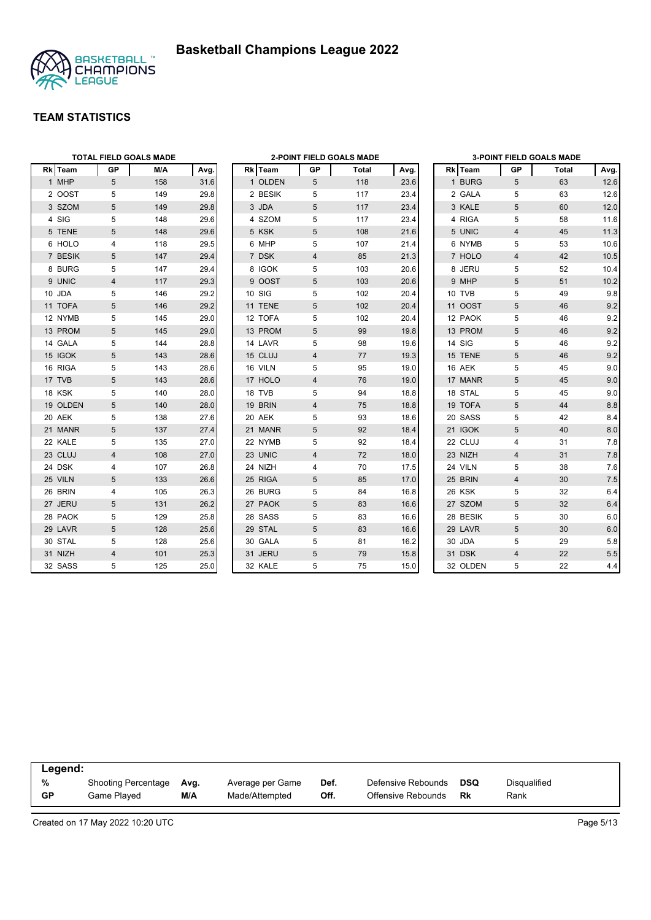



|          |                | <b>TOTAL FIELD GOALS MADE</b> |      |         |                | <b>2-POINT FIELD GOALS MADE</b> |      |          |                         | <b>3-POINT FIELD GOALS MADE</b> |       |
|----------|----------------|-------------------------------|------|---------|----------------|---------------------------------|------|----------|-------------------------|---------------------------------|-------|
| Rk Team  | <b>GP</b>      | M/A                           | Avg. | Rk Team | GP             | <b>Total</b>                    | Avg. | Rk Team  | GP                      | Total                           | Avg.  |
| 1 MHP    | 5              | 158                           | 31.6 | 1 OLDEN | 5              | 118                             | 23.6 | 1 BURG   | 5                       | 63                              | 12.6  |
| 2 OOST   | 5              | 149                           | 29.8 | 2 BESIK | 5              | 117                             | 23.4 | 2 GALA   | 5                       | 63                              | 12.6  |
| 3 SZOM   | 5              | 149                           | 29.8 | 3 JDA   | 5              | 117                             | 23.4 | 3 KALE   | 5                       | 60                              | 12.0  |
| 4 SIG    | 5              | 148                           | 29.6 | 4 SZOM  | 5              | 117                             | 23.4 | 4 RIGA   | 5                       | 58                              | 11.6  |
| 5 TENE   | 5              | 148                           | 29.6 | 5 KSK   | 5              | 108                             | 21.6 | 5 UNIC   | $\overline{4}$          | 45                              | 11.3  |
| 6 HOLO   | 4              | 118                           | 29.5 | 6 MHP   | 5              | 107                             | 21.4 | 6 NYMB   | 5                       | 53                              | 10.6  |
| 7 BESIK  | 5              | 147                           | 29.4 | 7 DSK   | $\overline{4}$ | 85                              | 21.3 | 7 HOLO   | $\overline{4}$          | 42                              | 10.5  |
| 8 BURG   | 5              | 147                           | 29.4 | 8 IGOK  | 5              | 103                             | 20.6 | 8 JERU   | 5                       | 52                              | 10.4  |
| 9 UNIC   | 4              | 117                           | 29.3 | 9 OOST  | 5              | 103                             | 20.6 | 9 MHP    | 5                       | 51                              | 10.2  |
| 10 JDA   | 5              | 146                           | 29.2 | 10 SIG  | 5              | 102                             | 20.4 | 10 TVB   | 5                       | 49                              | 9.8   |
| 11 TOFA  | 5              | 146                           | 29.2 | 11 TENE | 5              | 102                             | 20.4 | 11 OOST  | 5                       | 46                              | 9.2   |
| 12 NYMB  | 5              | 145                           | 29.0 | 12 TOFA | 5              | 102                             | 20.4 | 12 PAOK  | 5                       | 46                              | 9.2   |
| 13 PROM  | 5              | 145                           | 29.0 | 13 PROM | 5              | 99                              | 19.8 | 13 PROM  | 5                       | 46                              | 9.2   |
| 14 GALA  | 5              | 144                           | 28.8 | 14 LAVR | 5              | 98                              | 19.6 | 14 SIG   | 5                       | 46                              | 9.2   |
| 15 IGOK  | 5              | 143                           | 28.6 | 15 CLUJ | 4              | 77                              | 19.3 | 15 TENE  | 5                       | 46                              | 9.2   |
| 16 RIGA  | 5              | 143                           | 28.6 | 16 VILN | 5              | 95                              | 19.0 | 16 AEK   | 5                       | 45                              | 9.0   |
| 17 TVB   | 5              | 143                           | 28.6 | 17 HOLO | $\overline{4}$ | 76                              | 19.0 | 17 MANR  | 5                       | 45                              | 9.0   |
| 18 KSK   | 5              | 140                           | 28.0 | 18 TVB  | 5              | 94                              | 18.8 | 18 STAL  | 5                       | 45                              | 9.0   |
| 19 OLDEN | 5              | 140                           | 28.0 | 19 BRIN | 4              | 75                              | 18.8 | 19 TOFA  | 5                       | 44                              | 8.8   |
| 20 AEK   | 5              | 138                           | 27.6 | 20 AEK  | 5              | 93                              | 18.6 | 20 SASS  | 5                       | 42                              | 8.4   |
| 21 MANR  | 5              | 137                           | 27.4 | 21 MANR | 5              | 92                              | 18.4 | 21 IGOK  | 5                       | 40                              | 8.0   |
| 22 KALE  | 5              | 135                           | 27.0 | 22 NYMB | 5              | 92                              | 18.4 | 22 CLUJ  | $\overline{4}$          | 31                              | 7.8   |
| 23 CLUJ  | $\overline{4}$ | 108                           | 27.0 | 23 UNIC | $\overline{4}$ | 72                              | 18.0 | 23 NIZH  | $\overline{\mathbf{4}}$ | 31                              | 7.8   |
| 24 DSK   | 4              | 107                           | 26.8 | 24 NIZH | 4              | 70                              | 17.5 | 24 VILN  | 5                       | 38                              | 7.6   |
| 25 VILN  | 5              | 133                           | 26.6 | 25 RIGA | 5              | 85                              | 17.0 | 25 BRIN  | $\overline{4}$          | 30                              | $7.5$ |
| 26 BRIN  | 4              | 105                           | 26.3 | 26 BURG | 5              | 84                              | 16.8 | 26 KSK   | 5                       | 32                              | 6.4   |
| 27 JERU  | 5              | 131                           | 26.2 | 27 PAOK | 5              | 83                              | 16.6 | 27 SZOM  | $5\phantom{.0}$         | 32                              | 6.4   |
| 28 PAOK  | 5              | 129                           | 25.8 | 28 SASS | 5              | 83                              | 16.6 | 28 BESIK | 5                       | 30                              | 6.0   |
| 29 LAVR  | 5              | 128                           | 25.6 | 29 STAL | 5              | 83                              | 16.6 | 29 LAVR  | 5                       | 30                              | 6.0   |
| 30 STAL  | 5              | 128                           | 25.6 | 30 GALA | 5              | 81                              | 16.2 | 30 JDA   | 5                       | 29                              | 5.8   |
| 31 NIZH  | $\overline{4}$ | 101                           | 25.3 | 31 JERU | 5              | 79                              | 15.8 | 31 DSK   | $\overline{4}$          | 22                              | 5.5   |
| 32 SASS  | 5              | 125                           | 25.0 | 32 KALE | 5              | 75                              | 15.0 | 32 OLDEN | 5                       | 22                              | 4.4   |

| Legend:   |                            |      |                  |      |                    |     |              |  |
|-----------|----------------------------|------|------------------|------|--------------------|-----|--------------|--|
| %         | <b>Shooting Percentage</b> | Avg. | Average per Game | Def. | Defensive Rebounds | DSQ | Disgualified |  |
| <b>GP</b> | Game Played                | M/A  | Made/Attempted   | Off. | Offensive Rebounds | Rk  | Rank         |  |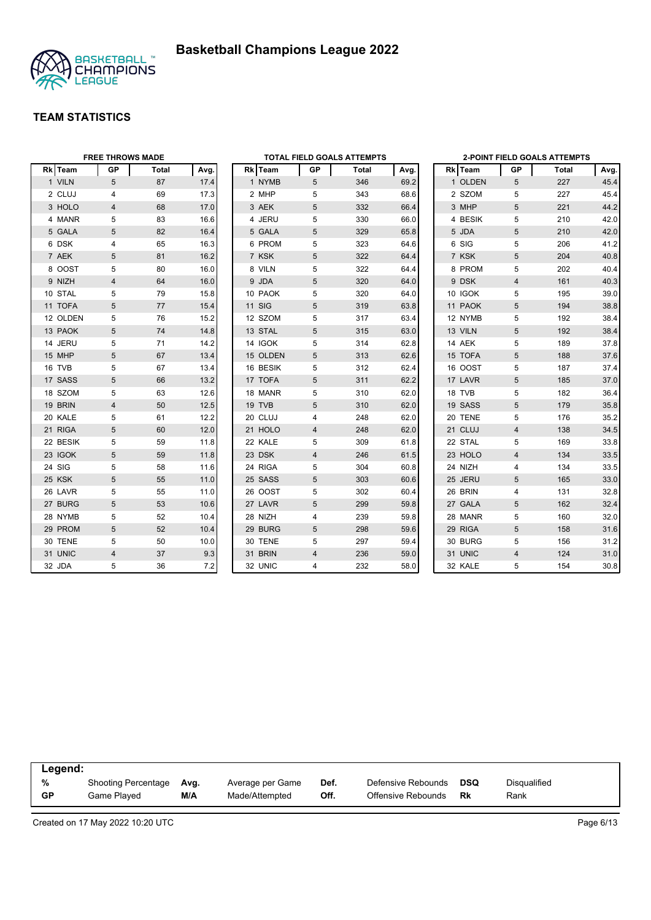



|          | <b>FREE THROWS MADE</b> |              |      |               |                 | TOTAL FIELD GOALS ATTEMPTS |      |         |                | 2-POINT FIELD GOALS ATTEMPTS |      |
|----------|-------------------------|--------------|------|---------------|-----------------|----------------------------|------|---------|----------------|------------------------------|------|
| Rk Team  | <b>GP</b>               | <b>Total</b> | Avg. | Rk Team       | GP              | Total                      | Avg. | Rk Team | <b>GP</b>      | Total                        | Avg. |
| 1 VILN   | 5                       | 87           | 17.4 | 1 NYMB        | $5\overline{)}$ | 346                        | 69.2 | 1 OLDEN | 5              | 227                          | 45.4 |
| 2 CLUJ   | 4                       | 69           | 17.3 | 2 MHP         | 5               | 343                        | 68.6 | 2 SZOM  | 5              | 227                          | 45.4 |
| 3 HOLO   | 4                       | 68           | 17.0 | 3 AEK         | 5               | 332                        | 66.4 | 3 MHP   | 5              | 221                          | 44.2 |
| 4 MANR   | 5                       | 83           | 16.6 | 4 JERU        | 5               | 330                        | 66.0 | 4 BESIK | 5              | 210                          | 42.0 |
| 5 GALA   | 5                       | 82           | 16.4 | 5 GALA        | 5               | 329                        | 65.8 | 5 JDA   | 5              | 210                          | 42.0 |
| 6 DSK    | 4                       | 65           | 16.3 | 6 PROM        | 5               | 323                        | 64.6 | 6 SIG   | 5              | 206                          | 41.2 |
| 7 AEK    | 5                       | 81           | 16.2 | 7 KSK         | 5               | 322                        | 64.4 | 7 KSK   | 5              | 204                          | 40.8 |
| 8 OOST   | 5                       | 80           | 16.0 | 8 VILN        | 5               | 322                        | 64.4 | 8 PROM  | 5              | 202                          | 40.4 |
| 9 NIZH   | 4                       | 64           | 16.0 | 9 JDA         | 5               | 320                        | 64.0 | 9 DSK   | $\overline{4}$ | 161                          | 40.3 |
| 10 STAL  | 5                       | 79           | 15.8 | 10 PAOK       | 5               | 320                        | 64.0 | 10 IGOK | 5              | 195                          | 39.0 |
| 11 TOFA  | 5                       | 77           | 15.4 | <b>11 SIG</b> | 5               | 319                        | 63.8 | 11 PAOK | 5              | 194                          | 38.8 |
| 12 OLDEN | 5                       | 76           | 15.2 | 12 SZOM       | 5               | 317                        | 63.4 | 12 NYMB | 5              | 192                          | 38.4 |
| 13 PAOK  | 5                       | 74           | 14.8 | 13 STAL       | 5               | 315                        | 63.0 | 13 VILN | 5              | 192                          | 38.4 |
| 14 JERU  | 5                       | 71           | 14.2 | 14 IGOK       | 5               | 314                        | 62.8 | 14 AEK  | 5              | 189                          | 37.8 |
| 15 MHP   | 5                       | 67           | 13.4 | 15 OLDEN      | 5               | 313                        | 62.6 | 15 TOFA | 5              | 188                          | 37.6 |
| 16 TVB   | 5                       | 67           | 13.4 | 16 BESIK      | 5               | 312                        | 62.4 | 16 OOST | 5              | 187                          | 37.4 |
| 17 SASS  | 5                       | 66           | 13.2 | 17 TOFA       | 5               | 311                        | 62.2 | 17 LAVR | 5              | 185                          | 37.0 |
| 18 SZOM  | 5                       | 63           | 12.6 | 18 MANR       | 5               | 310                        | 62.0 | 18 TVB  | 5              | 182                          | 36.4 |
| 19 BRIN  | $\overline{4}$          | 50           | 12.5 | 19 TVB        | 5               | 310                        | 62.0 | 19 SASS | 5              | 179                          | 35.8 |
| 20 KALE  | 5                       | 61           | 12.2 | 20 CLUJ       | 4               | 248                        | 62.0 | 20 TENE | 5              | 176                          | 35.2 |
| 21 RIGA  | 5                       | 60           | 12.0 | 21 HOLO       | 4               | 248                        | 62.0 | 21 CLUJ | $\overline{4}$ | 138                          | 34.5 |
| 22 BESIK | 5                       | 59           | 11.8 | 22 KALE       | 5               | 309                        | 61.8 | 22 STAL | 5              | 169                          | 33.8 |
| 23 IGOK  | 5                       | 59           | 11.8 | 23 DSK        | 4               | 246                        | 61.5 | 23 HOLO | $\overline{4}$ | 134                          | 33.5 |
| 24 SIG   | 5                       | 58           | 11.6 | 24 RIGA       | 5               | 304                        | 60.8 | 24 NIZH | 4              | 134                          | 33.5 |
| 25 KSK   | 5                       | 55           | 11.0 | 25 SASS       | 5               | 303                        | 60.6 | 25 JERU | 5              | 165                          | 33.0 |
| 26 LAVR  | 5                       | 55           | 11.0 | 26 OOST       | 5               | 302                        | 60.4 | 26 BRIN | 4              | 131                          | 32.8 |
| 27 BURG  | 5                       | 53           | 10.6 | 27 LAVR       | 5               | 299                        | 59.8 | 27 GALA | 5              | 162                          | 32.4 |
| 28 NYMB  | 5                       | 52           | 10.4 | 28 NIZH       | 4               | 239                        | 59.8 | 28 MANR | 5              | 160                          | 32.0 |
| 29 PROM  | 5                       | 52           | 10.4 | 29 BURG       | 5               | 298                        | 59.6 | 29 RIGA | 5              | 158                          | 31.6 |
| 30 TENE  | 5                       | 50           | 10.0 | 30 TENE       | 5               | 297                        | 59.4 | 30 BURG | 5              | 156                          | 31.2 |
| 31 UNIC  | 4                       | 37           | 9.3  | 31 BRIN       | 4               | 236                        | 59.0 | 31 UNIC | $\overline{4}$ | 124                          | 31.0 |
| 32 JDA   | 5                       | 36           | 7.2  | 32 UNIC       | 4               | 232                        | 58.0 | 32 KALE | 5              | 154                          | 30.8 |

| Legend:   |                            |      |                  |      |                    |     |              |  |
|-----------|----------------------------|------|------------------|------|--------------------|-----|--------------|--|
| %         | <b>Shooting Percentage</b> | Avg. | Average per Game | Def. | Defensive Rebounds | DSQ | Disgualified |  |
| <b>GP</b> | Game Played                | M/A  | Made/Attempted   | Off. | Offensive Rebounds | Rk  | Rank         |  |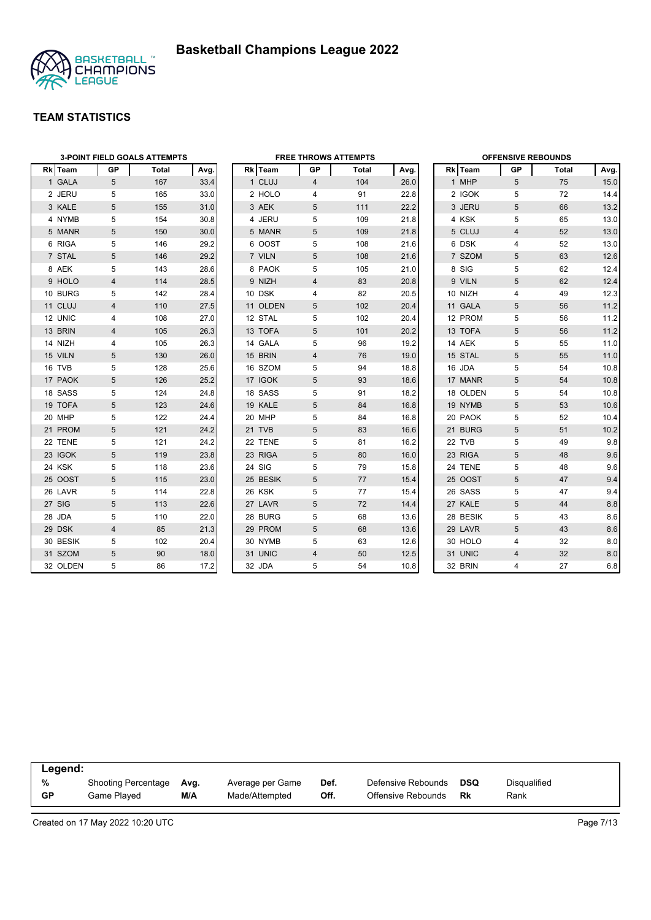

|          |                | <b>3-POINT FIELD GOALS ATTEMPTS</b> |      |          |                | <b>FREE THROWS ATTEMPTS</b> |      |          | <b>OFFENSIVE REBOUNDS</b> |              |      |
|----------|----------------|-------------------------------------|------|----------|----------------|-----------------------------|------|----------|---------------------------|--------------|------|
| Rk Team  | GP             | Total                               | Avg. | Rk Team  | GP             | Total                       | Avg. | Rk Team  | GP                        | <b>Total</b> | Avg. |
| 1 GALA   | 5              | 167                                 | 33.4 | 1 CLUJ   | $\overline{4}$ | 104                         | 26.0 | 1 MHP    | 5                         | 75           | 15.0 |
| 2 JERU   | 5              | 165                                 | 33.0 | 2 HOLO   | 4              | 91                          | 22.8 | 2 IGOK   | 5                         | 72           | 14.4 |
| 3 KALE   | 5              | 155                                 | 31.0 | 3 AEK    | 5              | 111                         | 22.2 | 3 JERU   | 5                         | 66           | 13.2 |
| 4 NYMB   | 5              | 154                                 | 30.8 | 4 JERU   | 5              | 109                         | 21.8 | 4 KSK    | 5                         | 65           | 13.0 |
| 5 MANR   | 5              | 150                                 | 30.0 | 5 MANR   | 5              | 109                         | 21.8 | 5 CLUJ   | $\overline{4}$            | 52           | 13.0 |
| 6 RIGA   | 5              | 146                                 | 29.2 | 6 OOST   | 5              | 108                         | 21.6 | 6 DSK    | 4                         | 52           | 13.0 |
| 7 STAL   | 5              | 146                                 | 29.2 | 7 VILN   | 5              | 108                         | 21.6 | 7 SZOM   | 5                         | 63           | 12.6 |
| 8 AEK    | 5              | 143                                 | 28.6 | 8 PAOK   | 5              | 105                         | 21.0 | 8 SIG    | 5                         | 62           | 12.4 |
| 9 HOLO   | $\overline{4}$ | 114                                 | 28.5 | 9 NIZH   | 4              | 83                          | 20.8 | 9 VILN   | 5                         | 62           | 12.4 |
| 10 BURG  | 5              | 142                                 | 28.4 | 10 DSK   | 4              | 82                          | 20.5 | 10 NIZH  | 4                         | 49           | 12.3 |
| 11 CLUJ  | 4              | 110                                 | 27.5 | 11 OLDEN | 5              | 102                         | 20.4 | 11 GALA  | 5                         | 56           | 11.2 |
| 12 UNIC  | 4              | 108                                 | 27.0 | 12 STAL  | 5              | 102                         | 20.4 | 12 PROM  | 5                         | 56           | 11.2 |
| 13 BRIN  | $\overline{4}$ | 105                                 | 26.3 | 13 TOFA  | 5              | 101                         | 20.2 | 13 TOFA  | 5                         | 56           | 11.2 |
| 14 NIZH  | 4              | 105                                 | 26.3 | 14 GALA  | 5              | 96                          | 19.2 | 14 AEK   | 5                         | 55           | 11.0 |
| 15 VILN  | 5              | 130                                 | 26.0 | 15 BRIN  | 4              | 76                          | 19.0 | 15 STAL  | 5                         | 55           | 11.0 |
| 16 TVB   | 5              | 128                                 | 25.6 | 16 SZOM  | 5              | 94                          | 18.8 | 16 JDA   | 5                         | 54           | 10.8 |
| 17 PAOK  | 5              | 126                                 | 25.2 | 17 IGOK  | 5              | 93                          | 18.6 | 17 MANR  | 5                         | 54           | 10.8 |
| 18 SASS  | 5              | 124                                 | 24.8 | 18 SASS  | 5              | 91                          | 18.2 | 18 OLDEN | 5                         | 54           | 10.8 |
| 19 TOFA  | 5              | 123                                 | 24.6 | 19 KALE  | 5              | 84                          | 16.8 | 19 NYMB  | 5                         | 53           | 10.6 |
| 20 MHP   | 5              | 122                                 | 24.4 | 20 MHP   | 5              | 84                          | 16.8 | 20 PAOK  | 5                         | 52           | 10.4 |
| 21 PROM  | 5              | 121                                 | 24.2 | 21 TVB   | 5              | 83                          | 16.6 | 21 BURG  | 5                         | 51           | 10.2 |
| 22 TENE  | 5              | 121                                 | 24.2 | 22 TENE  | 5              | 81                          | 16.2 | 22 TVB   | 5                         | 49           | 9.8  |
| 23 IGOK  | 5              | 119                                 | 23.8 | 23 RIGA  | 5              | 80                          | 16.0 | 23 RIGA  | 5                         | 48           | 9.6  |
| 24 KSK   | 5              | 118                                 | 23.6 | 24 SIG   | 5              | 79                          | 15.8 | 24 TENE  | 5                         | 48           | 9.6  |
| 25 OOST  | 5              | 115                                 | 23.0 | 25 BESIK | 5              | 77                          | 15.4 | 25 OOST  | 5                         | 47           | 9.4  |
| 26 LAVR  | 5              | 114                                 | 22.8 | 26 KSK   | 5              | 77                          | 15.4 | 26 SASS  | 5                         | 47           | 9.4  |
| 27 SIG   | 5              | 113                                 | 22.6 | 27 LAVR  | 5              | 72                          | 14.4 | 27 KALE  | 5                         | 44           | 8.8  |
| 28 JDA   | 5              | 110                                 | 22.0 | 28 BURG  | 5              | 68                          | 13.6 | 28 BESIK | 5                         | 43           | 8.6  |
| 29 DSK   | $\overline{4}$ | 85                                  | 21.3 | 29 PROM  | 5              | 68                          | 13.6 | 29 LAVR  | 5                         | 43           | 8.6  |
| 30 BESIK | 5              | 102                                 | 20.4 | 30 NYMB  | 5              | 63                          | 12.6 | 30 HOLO  | 4                         | 32           | 8.0  |
| 31 SZOM  | 5              | 90                                  | 18.0 | 31 UNIC  | $\overline{4}$ | 50                          | 12.5 | 31 UNIC  | $\overline{4}$            | 32           | 8.0  |
| 32 OLDEN | 5              | 86                                  | 17.2 | 32 JDA   | 5              | 54                          | 10.8 | 32 BRIN  | 4                         | 27           | 6.8  |

| Legend:   |                            |      |                  |      |                    |            |              |  |
|-----------|----------------------------|------|------------------|------|--------------------|------------|--------------|--|
| %         | <b>Shooting Percentage</b> | Ava. | Average per Game | Def. | Defensive Rebounds | <b>DSQ</b> | Disgualified |  |
| <b>GP</b> | Game Played                | M/A  | Made/Attempted   | Off. | Offensive Rebounds | Rk         | Rank         |  |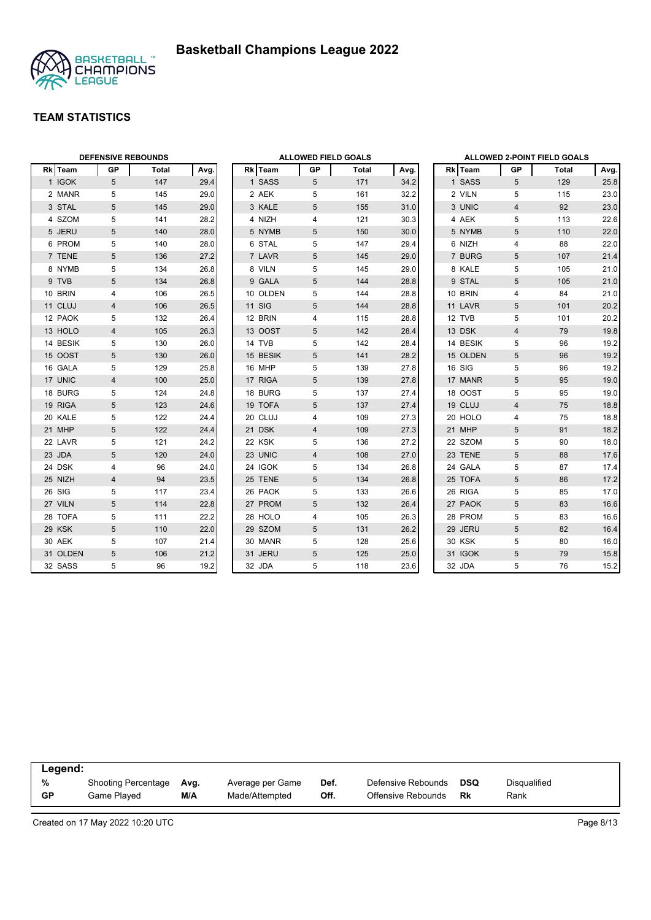



|                | <b>DEFENSIVE REBOUNDS</b> |       |      |                | <b>ALLOWED FIELD GOALS</b> |       |      |                |                | <b>ALLOWED 2-POINT FIELD GOALS</b> |      |
|----------------|---------------------------|-------|------|----------------|----------------------------|-------|------|----------------|----------------|------------------------------------|------|
| <b>Rk</b> Team | <b>GP</b>                 | Total | Avg. | <b>Rk</b> Team | GP                         | Total | Avg. | <b>Rk</b> Team | <b>GP</b>      | Total                              | Avg. |
| 1 IGOK         | 5                         | 147   | 29.4 | 1 SASS         | 5                          | 171   | 34.2 | 1 SASS         | 5              | 129                                | 25.8 |
| 2 MANR         | 5                         | 145   | 29.0 | 2 AEK          | 5                          | 161   | 32.2 | 2 VILN         | 5              | 115                                | 23.0 |
| 3 STAL         | 5                         | 145   | 29.0 | 3 KALE         | 5                          | 155   | 31.0 | 3 UNIC         | $\overline{4}$ | 92                                 | 23.0 |
| 4 SZOM         | 5                         | 141   | 28.2 | 4 NIZH         | 4                          | 121   | 30.3 | 4 AEK          | 5              | 113                                | 22.6 |
| 5 JERU         | 5                         | 140   | 28.0 | 5 NYMB         | 5                          | 150   | 30.0 | 5 NYMB         | 5              | 110                                | 22.0 |
| 6 PROM         | 5                         | 140   | 28.0 | 6 STAL         | 5                          | 147   | 29.4 | 6 NIZH         | 4              | 88                                 | 22.0 |
| 7 TENE         | 5                         | 136   | 27.2 | 7 LAVR         | 5                          | 145   | 29.0 | 7 BURG         | 5              | 107                                | 21.4 |
| 8 NYMB         | 5                         | 134   | 26.8 | 8 VILN         | 5                          | 145   | 29.0 | 8 KALE         | 5              | 105                                | 21.0 |
| 9 TVB          | 5                         | 134   | 26.8 | 9 GALA         | 5                          | 144   | 28.8 | 9 STAL         | 5              | 105                                | 21.0 |
| 10 BRIN        | 4                         | 106   | 26.5 | 10 OLDEN       | 5                          | 144   | 28.8 | 10 BRIN        | $\overline{4}$ | 84                                 | 21.0 |
| 11 CLUJ        | 4                         | 106   | 26.5 | <b>11 SIG</b>  | 5                          | 144   | 28.8 | 11 LAVR        | 5              | 101                                | 20.2 |
| 12 PAOK        | 5                         | 132   | 26.4 | 12 BRIN        | 4                          | 115   | 28.8 | 12 TVB         | 5              | 101                                | 20.2 |
| 13 HOLO        | $\overline{4}$            | 105   | 26.3 | 13 OOST        | 5                          | 142   | 28.4 | 13 DSK         | $\overline{4}$ | 79                                 | 19.8 |
| 14 BESIK       | 5                         | 130   | 26.0 | 14 TVB         | 5                          | 142   | 28.4 | 14 BESIK       | 5              | 96                                 | 19.2 |
| 15 OOST        | 5                         | 130   | 26.0 | 15 BESIK       | 5                          | 141   | 28.2 | 15 OLDEN       | 5              | 96                                 | 19.2 |
| 16 GALA        | 5                         | 129   | 25.8 | 16 MHP         | 5                          | 139   | 27.8 | 16 SIG         | 5              | 96                                 | 19.2 |
| 17 UNIC        | $\overline{4}$            | 100   | 25.0 | 17 RIGA        | 5                          | 139   | 27.8 | 17 MANR        | 5              | 95                                 | 19.0 |
| 18 BURG        | 5                         | 124   | 24.8 | 18 BURG        | 5                          | 137   | 27.4 | 18 OOST        | 5              | 95                                 | 19.0 |
| 19 RIGA        | 5                         | 123   | 24.6 | 19 TOFA        | 5                          | 137   | 27.4 | 19 CLUJ        | $\overline{4}$ | 75                                 | 18.8 |
| 20 KALE        | 5                         | 122   | 24.4 | 20 CLUJ        | 4                          | 109   | 27.3 | 20 HOLO        | 4              | 75                                 | 18.8 |
| 21 MHP         | 5                         | 122   | 24.4 | 21 DSK         | 4                          | 109   | 27.3 | 21 MHP         | 5              | 91                                 | 18.2 |
| 22 LAVR        | 5                         | 121   | 24.2 | 22 KSK         | 5                          | 136   | 27.2 | 22 SZOM        | 5              | 90                                 | 18.0 |
| 23 JDA         | $\sqrt{5}$                | 120   | 24.0 | 23 UNIC        | 4                          | 108   | 27.0 | 23 TENE        | 5              | 88                                 | 17.6 |
| 24 DSK         | 4                         | 96    | 24.0 | 24 IGOK        | 5                          | 134   | 26.8 | 24 GALA        | 5              | 87                                 | 17.4 |
| 25 NIZH        | 4                         | 94    | 23.5 | 25 TENE        | 5                          | 134   | 26.8 | 25 TOFA        | 5              | 86                                 | 17.2 |
| 26 SIG         | 5                         | 117   | 23.4 | 26 PAOK        | 5                          | 133   | 26.6 | 26 RIGA        | 5              | 85                                 | 17.0 |
| 27 VILN        | 5                         | 114   | 22.8 | 27 PROM        | 5                          | 132   | 26.4 | 27 PAOK        | 5              | 83                                 | 16.6 |
| 28 TOFA        | 5                         | 111   | 22.2 | 28 HOLO        | 4                          | 105   | 26.3 | 28 PROM        | 5              | 83                                 | 16.6 |
| 29 KSK         | 5                         | 110   | 22.0 | 29 SZOM        | 5                          | 131   | 26.2 | 29 JERU        | 5              | 82                                 | 16.4 |
| 30 AEK         | 5                         | 107   | 21.4 | 30 MANR        | 5                          | 128   | 25.6 | 30 KSK         | 5              | 80                                 | 16.0 |
| 31 OLDEN       | 5                         | 106   | 21.2 | 31 JERU        | 5                          | 125   | 25.0 | 31 IGOK        | $\overline{5}$ | 79                                 | 15.8 |
| 32 SASS        | 5                         | 96    | 19.2 | 32 JDA         | 5                          | 118   | 23.6 | 32 JDA         | 5              | 76                                 | 15.2 |

| Legend: |                            |      |                  |      |                    |            |                     |
|---------|----------------------------|------|------------------|------|--------------------|------------|---------------------|
| %       | <b>Shooting Percentage</b> | Ava. | Average per Game | Def. | Defensive Rebounds | <b>DSQ</b> | <b>Disqualified</b> |
| GP      | Game Played                | M/A  | Made/Attempted   | Off. | Offensive Rebounds | Rk         | Rank                |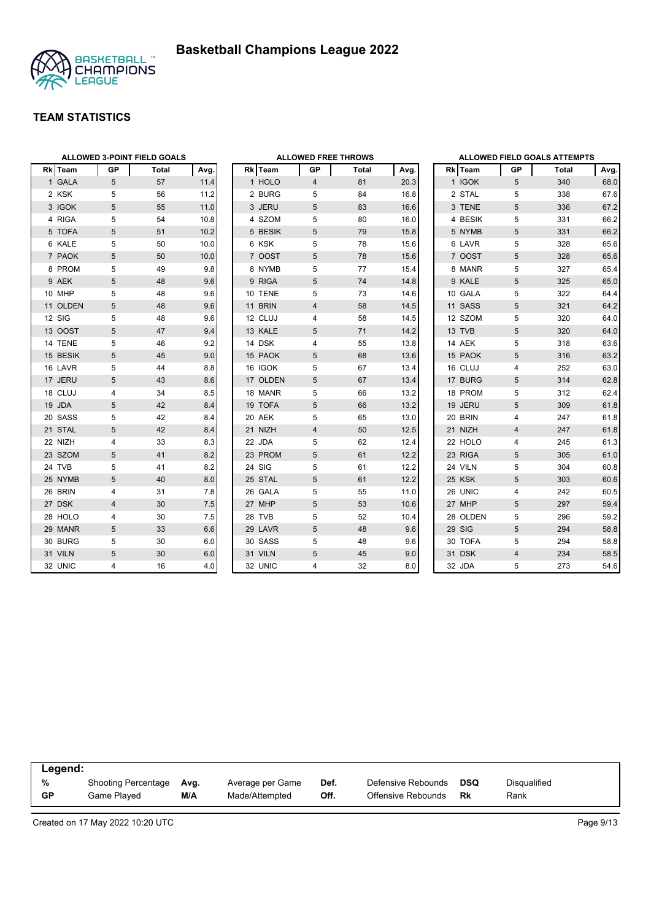

|                |                | <b>ALLOWED 3-POINT FIELD GOALS</b> |      |                | <b>ALLOWED FREE THROWS</b> |       |      |                |                | <b>ALLOWED FIELD GOALS ATTEMPTS</b> |      |
|----------------|----------------|------------------------------------|------|----------------|----------------------------|-------|------|----------------|----------------|-------------------------------------|------|
| <b>Rk</b> Team | GP             | Total                              | Avg. | <b>Rk</b> Team | GP                         | Total | Avg. | <b>Rk</b> Team | GP             | Total                               | Avg. |
| 1 GALA         | 5              | 57                                 | 11.4 | 1 HOLO         | 4                          | 81    | 20.3 | 1 IGOK         | 5              | 340                                 | 68.0 |
| 2 KSK          | 5              | 56                                 | 11.2 | 2 BURG         | 5                          | 84    | 16.8 | 2 STAL         | 5              | 338                                 | 67.6 |
| 3 IGOK         | 5              | 55                                 | 11.0 | 3 JERU         | 5                          | 83    | 16.6 | 3 TENE         | 5              | 336                                 | 67.2 |
| 4 RIGA         | 5              | 54                                 | 10.8 | 4 SZOM         | 5                          | 80    | 16.0 | 4 BESIK        | 5              | 331                                 | 66.2 |
| 5 TOFA         | 5              | 51                                 | 10.2 | 5 BESIK        | 5                          | 79    | 15.8 | 5 NYMB         | 5              | 331                                 | 66.2 |
| 6 KALE         | 5              | 50                                 | 10.0 | 6 KSK          | 5                          | 78    | 15.6 | 6 LAVR         | 5              | 328                                 | 65.6 |
| 7 PAOK         | 5              | 50                                 | 10.0 | 7 OOST         | 5                          | 78    | 15.6 | 7 OOST         | 5              | 328                                 | 65.6 |
| 8 PROM         | 5              | 49                                 | 9.8  | 8 NYMB         | 5                          | 77    | 15.4 | 8 MANR         | 5              | 327                                 | 65.4 |
| 9 AEK          | 5              | 48                                 | 9.6  | 9 RIGA         | 5                          | 74    | 14.8 | 9 KALE         | 5              | 325                                 | 65.0 |
| 10 MHP         | 5              | 48                                 | 9.6  | 10 TENE        | 5                          | 73    | 14.6 | 10 GALA        | 5              | 322                                 | 64.4 |
| 11 OLDEN       | 5              | 48                                 | 9.6  | 11 BRIN        | $\overline{4}$             | 58    | 14.5 | 11 SASS        | 5              | 321                                 | 64.2 |
| 12 SIG         | 5              | 48                                 | 9.6  | 12 CLUJ        | 4                          | 58    | 14.5 | 12 SZOM        | 5              | 320                                 | 64.0 |
| 13 OOST        | $\sqrt{5}$     | 47                                 | 9.4  | 13 KALE        | 5                          | 71    | 14.2 | 13 TVB         | 5              | 320                                 | 64.0 |
| 14 TENE        | 5              | 46                                 | 9.2  | 14 DSK         | 4                          | 55    | 13.8 | 14 AEK         | 5              | 318                                 | 63.6 |
| 15 BESIK       | 5              | 45                                 | 9.0  | 15 PAOK        | 5                          | 68    | 13.6 | 15 PAOK        | 5              | 316                                 | 63.2 |
| 16 LAVR        | 5              | 44                                 | 8.8  | 16 IGOK        | 5                          | 67    | 13.4 | 16 CLUJ        | 4              | 252                                 | 63.0 |
| 17 JERU        | 5              | 43                                 | 8.6  | 17 OLDEN       | 5                          | 67    | 13.4 | 17 BURG        | 5              | 314                                 | 62.8 |
| 18 CLUJ        | 4              | 34                                 | 8.5  | 18 MANR        | 5                          | 66    | 13.2 | 18 PROM        | 5              | 312                                 | 62.4 |
| 19 JDA         | 5              | 42                                 | 8.4  | 19 TOFA        | 5                          | 66    | 13.2 | 19 JERU        | 5              | 309                                 | 61.8 |
| 20 SASS        | 5              | 42                                 | 8.4  | 20 AEK         | 5                          | 65    | 13.0 | 20 BRIN        | 4              | 247                                 | 61.8 |
| 21 STAL        | 5              | 42                                 | 8.4  | 21 NIZH        | $\overline{4}$             | 50    | 12.5 | 21 NIZH        | $\overline{4}$ | 247                                 | 61.8 |
| 22 NIZH        | 4              | 33                                 | 8.3  | 22 JDA         | 5                          | 62    | 12.4 | 22 HOLO        | 4              | 245                                 | 61.3 |
| 23 SZOM        | 5              | 41                                 | 8.2  | 23 PROM        | 5                          | 61    | 12.2 | 23 RIGA        | 5              | 305                                 | 61.0 |
| 24 TVB         | 5              | 41                                 | 8.2  | 24 SIG         | 5                          | 61    | 12.2 | 24 VILN        | 5              | 304                                 | 60.8 |
| 25 NYMB        | 5              | 40                                 | 8.0  | 25 STAL        | 5                          | 61    | 12.2 | 25 KSK         | 5              | 303                                 | 60.6 |
| 26 BRIN        | 4              | 31                                 | 7.8  | 26 GALA        | 5                          | 55    | 11.0 | 26 UNIC        | 4              | 242                                 | 60.5 |
| 27 DSK         | $\overline{4}$ | 30                                 | 7.5  | 27 MHP         | 5                          | 53    | 10.6 | 27 MHP         | 5              | 297                                 | 59.4 |
| 28 HOLO        | 4              | 30                                 | 7.5  | 28 TVB         | 5                          | 52    | 10.4 | 28 OLDEN       | 5              | 296                                 | 59.2 |
| 29 MANR        | 5              | 33                                 | 6.6  | 29 LAVR        | 5                          | 48    | 9.6  | 29 SIG         | 5              | 294                                 | 58.8 |
| 30 BURG        | 5              | 30                                 | 6.0  | 30 SASS        | 5                          | 48    | 9.6  | 30 TOFA        | 5              | 294                                 | 58.8 |
| 31 VILN        | 5              | 30                                 | 6.0  | 31 VILN        | 5                          | 45    | 9.0  | 31 DSK         | $\overline{4}$ | 234                                 | 58.5 |
| 32 UNIC        | $\overline{4}$ | 16                                 | 4.0  | 32 UNIC        | 4                          | 32    | 8.0  | 32 JDA         | 5              | 273                                 | 54.6 |

| Legend:   |                     |      |                  |      |                    |            |              |
|-----------|---------------------|------|------------------|------|--------------------|------------|--------------|
| %         | Shooting Percentage | Ava. | Average per Game | Def. | Defensive Rebounds | <b>DSQ</b> | Disqualified |
| <b>GP</b> | Game Plaved         | M/A  | Made/Attempted   | Off. | Offensive Rebounds | Rk         | Rank         |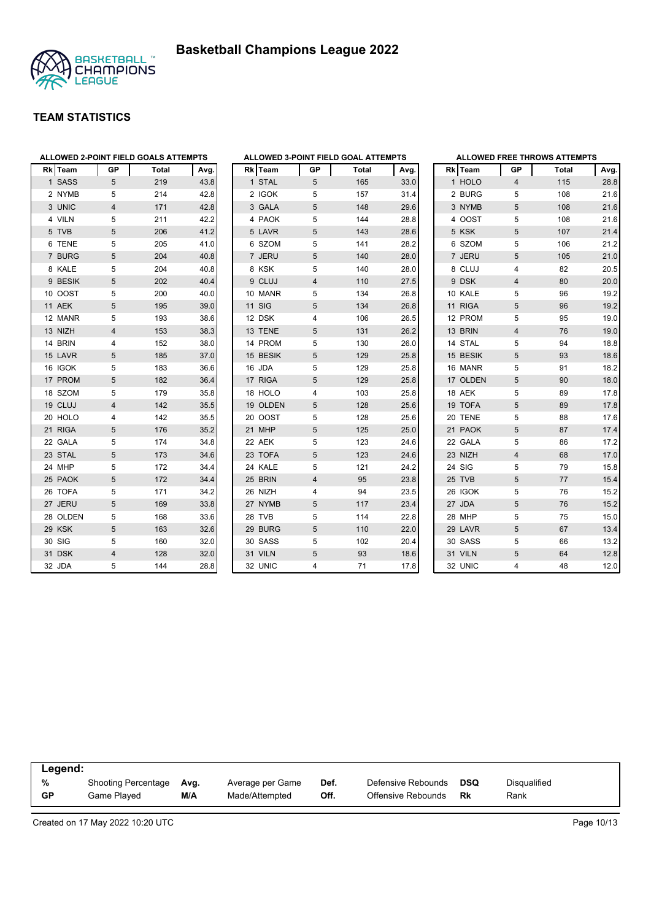



| ALLOWED 2-POINT FIELD GOALS ATTEMPTS |                |       |      | ALLOWED 3-POINT FIELD GOAL ATTEMPTS |                |       |      |          |                         | <b>ALLOWED FREE THROWS ATTEMPTS</b> |      |
|--------------------------------------|----------------|-------|------|-------------------------------------|----------------|-------|------|----------|-------------------------|-------------------------------------|------|
| Rk   Team                            | GP             | Total | Avg. | Rk   Team                           | GP             | Total | Avg. | Rk Team  | GP                      | Total                               | Avg. |
| 1 SASS                               | 5              | 219   | 43.8 | 1 STAL                              | 5              | 165   | 33.0 | 1 HOLO   | $\overline{4}$          | 115                                 | 28.8 |
| 2 NYMB                               | 5              | 214   | 42.8 | 2 IGOK                              | 5              | 157   | 31.4 | 2 BURG   | 5                       | 108                                 | 21.6 |
| 3 UNIC                               | 4              | 171   | 42.8 | 3 GALA                              | 5              | 148   | 29.6 | 3 NYMB   | 5                       | 108                                 | 21.6 |
| 4 VILN                               | 5              | 211   | 42.2 | 4 PAOK                              | 5              | 144   | 28.8 | 4 OOST   | 5                       | 108                                 | 21.6 |
| 5 TVB                                | 5              | 206   | 41.2 | 5 LAVR                              | 5              | 143   | 28.6 | 5 KSK    | 5                       | 107                                 | 21.4 |
| 6 TENE                               | 5              | 205   | 41.0 | 6 SZOM                              | 5              | 141   | 28.2 | 6 SZOM   | 5                       | 106                                 | 21.2 |
| 7 BURG                               | 5              | 204   | 40.8 | 7 JERU                              | 5              | 140   | 28.0 | 7 JERU   | 5                       | 105                                 | 21.0 |
| 8 KALE                               | 5              | 204   | 40.8 | 8 KSK                               | 5              | 140   | 28.0 | 8 CLUJ   | 4                       | 82                                  | 20.5 |
| 9 BESIK                              | 5              | 202   | 40.4 | 9 CLUJ                              | $\overline{4}$ | 110   | 27.5 | 9 DSK    | $\overline{4}$          | 80                                  | 20.0 |
| 10 OOST                              | 5              | 200   | 40.0 | 10 MANR                             | 5              | 134   | 26.8 | 10 KALE  | 5                       | 96                                  | 19.2 |
| 11 AEK                               | 5              | 195   | 39.0 | <b>11 SIG</b>                       | 5              | 134   | 26.8 | 11 RIGA  | 5                       | 96                                  | 19.2 |
| 12 MANR                              | 5              | 193   | 38.6 | 12 DSK                              | 4              | 106   | 26.5 | 12 PROM  | 5                       | 95                                  | 19.0 |
| 13 NIZH                              | 4              | 153   | 38.3 | 13 TENE                             | 5              | 131   | 26.2 | 13 BRIN  | $\overline{4}$          | 76                                  | 19.0 |
| 14 BRIN                              | 4              | 152   | 38.0 | 14 PROM                             | 5              | 130   | 26.0 | 14 STAL  | 5                       | 94                                  | 18.8 |
| 15 LAVR                              | 5              | 185   | 37.0 | 15 BESIK                            | 5              | 129   | 25.8 | 15 BESIK | 5                       | 93                                  | 18.6 |
| 16 IGOK                              | 5              | 183   | 36.6 | 16 JDA                              | 5              | 129   | 25.8 | 16 MANR  | 5                       | 91                                  | 18.2 |
| 17 PROM                              | $\sqrt{5}$     | 182   | 36.4 | 17 RIGA                             | 5              | 129   | 25.8 | 17 OLDEN | 5                       | 90                                  | 18.0 |
| 18 SZOM                              | 5              | 179   | 35.8 | 18 HOLO                             | 4              | 103   | 25.8 | 18 AEK   | 5                       | 89                                  | 17.8 |
| 19 CLUJ                              | $\overline{4}$ | 142   | 35.5 | 19 OLDEN                            | 5              | 128   | 25.6 | 19 TOFA  | 5                       | 89                                  | 17.8 |
| 20 HOLO                              | 4              | 142   | 35.5 | 20 OOST                             | 5              | 128   | 25.6 | 20 TENE  | 5                       | 88                                  | 17.6 |
| 21 RIGA                              | 5              | 176   | 35.2 | 21 MHP                              | 5              | 125   | 25.0 | 21 PAOK  | 5                       | 87                                  | 17.4 |
| 22 GALA                              | 5              | 174   | 34.8 | 22 AEK                              | 5              | 123   | 24.6 | 22 GALA  | 5                       | 86                                  | 17.2 |
| 23 STAL                              | 5              | 173   | 34.6 | 23 TOFA                             | 5              | 123   | 24.6 | 23 NIZH  | $\overline{\mathbf{4}}$ | 68                                  | 17.0 |
| 24 MHP                               | 5              | 172   | 34.4 | 24 KALE                             | 5              | 121   | 24.2 | 24 SIG   | 5                       | 79                                  | 15.8 |
| 25 PAOK                              | 5              | 172   | 34.4 | 25 BRIN                             | 4              | 95    | 23.8 | 25 TVB   | 5                       | 77                                  | 15.4 |
| 26 TOFA                              | 5              | 171   | 34.2 | 26 NIZH                             | 4              | 94    | 23.5 | 26 IGOK  | 5                       | 76                                  | 15.2 |
| 27 JERU                              | 5              | 169   | 33.8 | 27 NYMB                             | 5              | 117   | 23.4 | 27 JDA   | 5                       | 76                                  | 15.2 |
| 28 OLDEN                             | 5              | 168   | 33.6 | 28 TVB                              | 5              | 114   | 22.8 | 28 MHP   | 5                       | 75                                  | 15.0 |
| 29 KSK                               | 5              | 163   | 32.6 | 29 BURG                             | 5              | 110   | 22.0 | 29 LAVR  | 5                       | 67                                  | 13.4 |
| 30 SIG                               | 5              | 160   | 32.0 | 30 SASS                             | 5              | 102   | 20.4 | 30 SASS  | 5                       | 66                                  | 13.2 |
| 31 DSK                               | $\overline{4}$ | 128   | 32.0 | 31 VILN                             | 5              | 93    | 18.6 | 31 VILN  | 5                       | 64                                  | 12.8 |
| 32 JDA                               | 5              | 144   | 28.8 | 32 UNIC                             | 4              | 71    | 17.8 | 32 UNIC  | 4                       | 48                                  | 12.0 |

| Legend:   |                     |      |                  |      |                    |            |                     |
|-----------|---------------------|------|------------------|------|--------------------|------------|---------------------|
| %         | Shooting Percentage | Ava. | Average per Game | Def. | Defensive Rebounds | <b>DSQ</b> | <b>Disqualified</b> |
| <b>GP</b> | Game Plaved         | M/A  | Made/Attempted   | Off. | Offensive Rebounds | Rk         | Rank                |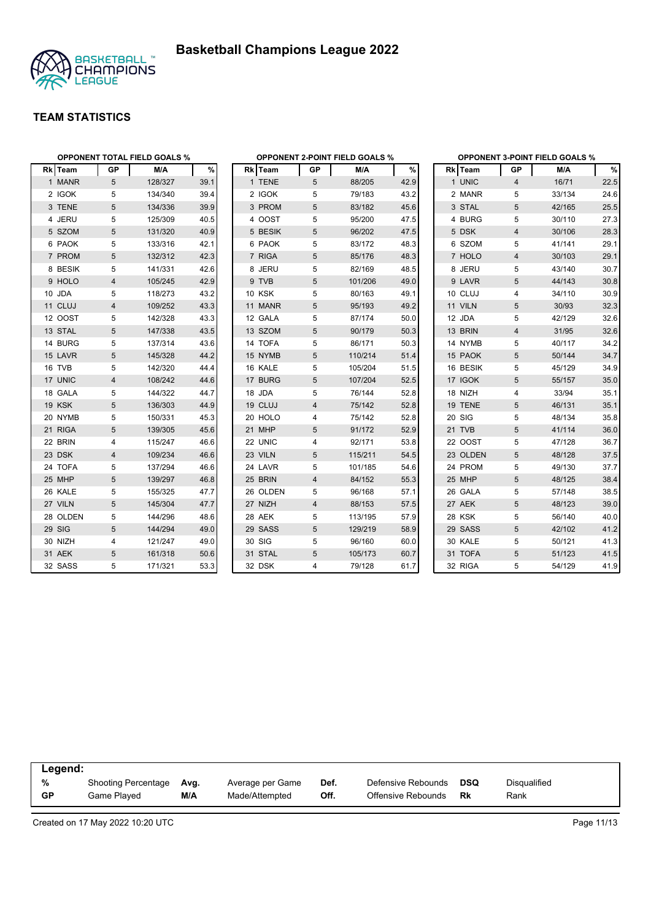



|          |                | <b>OPPONENT TOTAL FIELD GOALS %</b> |      |               |                | <b>OPPONENT 2-POINT FIELD GOALS %</b> |      |          |                | <b>OPPONENT 3-POINT FIELD GOALS %</b> |      |
|----------|----------------|-------------------------------------|------|---------------|----------------|---------------------------------------|------|----------|----------------|---------------------------------------|------|
| Rk Team  | <b>GP</b>      | M/A                                 | %    | Rk Team       | GP             | M/A                                   | $\%$ | Rk Team  | GP             | M/A                                   | %    |
| 1 MANR   | 5              | 128/327                             | 39.1 | 1 TENE        | 5              | 88/205                                | 42.9 | 1 UNIC   | 4              | 16/71                                 | 22.5 |
| 2 IGOK   | 5              | 134/340                             | 39.4 | 2 IGOK        | 5              | 79/183                                | 43.2 | 2 MANR   | 5              | 33/134                                | 24.6 |
| 3 TENE   | 5              | 134/336                             | 39.9 | 3 PROM        | $\sqrt{5}$     | 83/182                                | 45.6 | 3 STAL   | 5              | 42/165                                | 25.5 |
| 4 JERU   | 5              | 125/309                             | 40.5 | 4 OOST        | 5              | 95/200                                | 47.5 | 4 BURG   | 5              | 30/110                                | 27.3 |
| 5 SZOM   | 5              | 131/320                             | 40.9 | 5 BESIK       | $\sqrt{5}$     | 96/202                                | 47.5 | 5 DSK    | $\overline{4}$ | 30/106                                | 28.3 |
| 6 PAOK   | 5              | 133/316                             | 42.1 | 6 PAOK        | 5              | 83/172                                | 48.3 | 6 SZOM   | 5              | 41/141                                | 29.1 |
| 7 PROM   | 5              | 132/312                             | 42.3 | 7 RIGA        | 5              | 85/176                                | 48.3 | 7 HOLO   | $\overline{4}$ | 30/103                                | 29.1 |
| 8 BESIK  | 5              | 141/331                             | 42.6 | 8 JERU        | 5              | 82/169                                | 48.5 | 8 JERU   | 5              | 43/140                                | 30.7 |
| 9 HOLO   | 4              | 105/245                             | 42.9 | 9 TVB         | 5              | 101/206                               | 49.0 | 9 LAVR   | 5              | 44/143                                | 30.8 |
| 10 JDA   | 5              | 118/273                             | 43.2 | <b>10 KSK</b> | 5              | 80/163                                | 49.1 | 10 CLUJ  | 4              | 34/110                                | 30.9 |
| 11 CLUJ  | 4              | 109/252                             | 43.3 | 11 MANR       | 5              | 95/193                                | 49.2 | 11 VILN  | 5              | 30/93                                 | 32.3 |
| 12 OOST  | 5              | 142/328                             | 43.3 | 12 GALA       | 5              | 87/174                                | 50.0 | 12 JDA   | 5              | 42/129                                | 32.6 |
| 13 STAL  | 5              | 147/338                             | 43.5 | 13 SZOM       | 5              | 90/179                                | 50.3 | 13 BRIN  | $\overline{4}$ | 31/95                                 | 32.6 |
| 14 BURG  | 5              | 137/314                             | 43.6 | 14 TOFA       | 5              | 86/171                                | 50.3 | 14 NYMB  | 5              | 40/117                                | 34.2 |
| 15 LAVR  | 5              | 145/328                             | 44.2 | 15 NYMB       | 5              | 110/214                               | 51.4 | 15 PAOK  | 5              | 50/144                                | 34.7 |
| 16 TVB   | 5              | 142/320                             | 44.4 | 16 KALE       | 5              | 105/204                               | 51.5 | 16 BESIK | 5              | 45/129                                | 34.9 |
| 17 UNIC  | $\overline{4}$ | 108/242                             | 44.6 | 17 BURG       | 5              | 107/204                               | 52.5 | 17 IGOK  | 5              | 55/157                                | 35.0 |
| 18 GALA  | 5              | 144/322                             | 44.7 | 18 JDA        | 5              | 76/144                                | 52.8 | 18 NIZH  | 4              | 33/94                                 | 35.1 |
| 19 KSK   | 5              | 136/303                             | 44.9 | 19 CLUJ       | 4              | 75/142                                | 52.8 | 19 TENE  | 5              | 46/131                                | 35.1 |
| 20 NYMB  | 5              | 150/331                             | 45.3 | 20 HOLO       | 4              | 75/142                                | 52.8 | 20 SIG   | 5              | 48/134                                | 35.8 |
| 21 RIGA  | 5              | 139/305                             | 45.6 | 21 MHP        | 5              | 91/172                                | 52.9 | 21 TVB   | 5              | 41/114                                | 36.0 |
| 22 BRIN  | 4              | 115/247                             | 46.6 | 22 UNIC       | 4              | 92/171                                | 53.8 | 22 OOST  | 5              | 47/128                                | 36.7 |
| 23 DSK   | 4              | 109/234                             | 46.6 | 23 VILN       | 5              | 115/211                               | 54.5 | 23 OLDEN | 5              | 48/128                                | 37.5 |
| 24 TOFA  | 5              | 137/294                             | 46.6 | 24 LAVR       | 5              | 101/185                               | 54.6 | 24 PROM  | 5              | 49/130                                | 37.7 |
| 25 MHP   | 5              | 139/297                             | 46.8 | 25 BRIN       | $\overline{4}$ | 84/152                                | 55.3 | 25 MHP   | 5              | 48/125                                | 38.4 |
| 26 KALE  | 5              | 155/325                             | 47.7 | 26 OLDEN      | 5              | 96/168                                | 57.1 | 26 GALA  | 5              | 57/148                                | 38.5 |
| 27 VILN  | 5              | 145/304                             | 47.7 | 27 NIZH       | 4              | 88/153                                | 57.5 | 27 AEK   | 5              | 48/123                                | 39.0 |
| 28 OLDEN | 5              | 144/296                             | 48.6 | 28 AEK        | 5              | 113/195                               | 57.9 | 28 KSK   | 5              | 56/140                                | 40.0 |
| 29 SIG   | 5              | 144/294                             | 49.0 | 29 SASS       | 5              | 129/219                               | 58.9 | 29 SASS  | 5              | 42/102                                | 41.2 |
| 30 NIZH  | 4              | 121/247                             | 49.0 | 30 SIG        | 5              | 96/160                                | 60.0 | 30 KALE  | 5              | 50/121                                | 41.3 |
| 31 AEK   | 5              | 161/318                             | 50.6 | 31 STAL       | 5              | 105/173                               | 60.7 | 31 TOFA  | 5              | 51/123                                | 41.5 |
| 32 SASS  | 5              | 171/321                             | 53.3 | 32 DSK        | 4              | 79/128                                | 61.7 | 32 RIGA  | 5              | 54/129                                | 41.9 |

| Legend:   |                            |      |                  |      |                    |            |              |  |
|-----------|----------------------------|------|------------------|------|--------------------|------------|--------------|--|
| %         | <b>Shooting Percentage</b> | Avg. | Average per Game | Def. | Defensive Rebounds | <b>DSQ</b> | Disqualified |  |
| <b>GP</b> | Game Played                | M/A  | Made/Attempted   | Off. | Offensive Rebounds | Rk         | Rank         |  |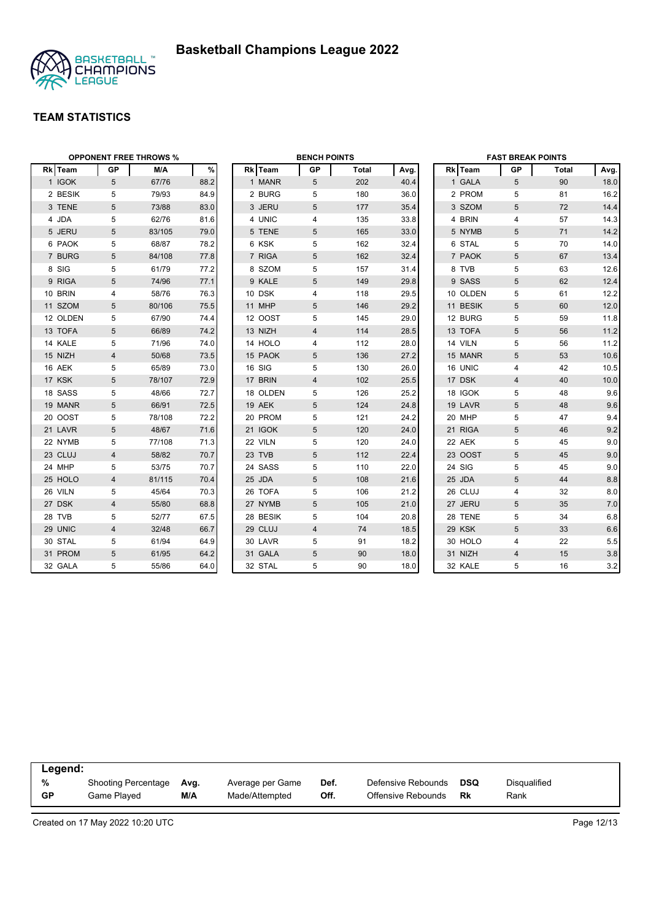

|          |                | <b>OPPONENT FREE THROWS %</b> |      |          | <b>BENCH POINTS</b> |              |      |          | <b>FAST BREAK POINTS</b> |       |      |
|----------|----------------|-------------------------------|------|----------|---------------------|--------------|------|----------|--------------------------|-------|------|
| Rk Team  | GP             | M/A                           | %    | Rk Team  | <b>GP</b>           | <b>Total</b> | Avg. | Rk Team  | GP                       | Total | Avg. |
| 1 IGOK   | 5              | 67/76                         | 88.2 | 1 MANR   | 5                   | 202          | 40.4 | 1 GALA   | 5                        | 90    | 18.0 |
| 2 BESIK  | 5              | 79/93                         | 84.9 | 2 BURG   | 5                   | 180          | 36.0 | 2 PROM   | 5                        | 81    | 16.2 |
| 3 TENE   | 5              | 73/88                         | 83.0 | 3 JERU   | 5                   | 177          | 35.4 | 3 SZOM   | 5                        | 72    | 14.4 |
| 4 JDA    | 5              | 62/76                         | 81.6 | 4 UNIC   | 4                   | 135          | 33.8 | 4 BRIN   | $\overline{4}$           | 57    | 14.3 |
| 5 JERU   | 5              | 83/105                        | 79.0 | 5 TENE   | 5                   | 165          | 33.0 | 5 NYMB   | 5                        | 71    | 14.2 |
| 6 PAOK   | 5              | 68/87                         | 78.2 | 6 KSK    | 5                   | 162          | 32.4 | 6 STAL   | 5                        | 70    | 14.0 |
| 7 BURG   | 5              | 84/108                        | 77.8 | 7 RIGA   | 5                   | 162          | 32.4 | 7 PAOK   | 5                        | 67    | 13.4 |
| 8 SIG    | 5              | 61/79                         | 77.2 | 8 SZOM   | 5                   | 157          | 31.4 | 8 TVB    | 5                        | 63    | 12.6 |
| 9 RIGA   | 5              | 74/96                         | 77.1 | 9 KALE   | 5                   | 149          | 29.8 | 9 SASS   | 5                        | 62    | 12.4 |
| 10 BRIN  | 4              | 58/76                         | 76.3 | 10 DSK   | 4                   | 118          | 29.5 | 10 OLDEN | 5                        | 61    | 12.2 |
| 11 SZOM  | 5              | 80/106                        | 75.5 | 11 MHP   | 5                   | 146          | 29.2 | 11 BESIK | 5                        | 60    | 12.0 |
| 12 OLDEN | 5              | 67/90                         | 74.4 | 12 OOST  | 5                   | 145          | 29.0 | 12 BURG  | 5                        | 59    | 11.8 |
| 13 TOFA  | $\sqrt{5}$     | 66/89                         | 74.2 | 13 NIZH  | $\overline{4}$      | 114          | 28.5 | 13 TOFA  | 5                        | 56    | 11.2 |
| 14 KALE  | 5              | 71/96                         | 74.0 | 14 HOLO  | 4                   | 112          | 28.0 | 14 VILN  | 5                        | 56    | 11.2 |
| 15 NIZH  | $\overline{4}$ | 50/68                         | 73.5 | 15 PAOK  | 5                   | 136          | 27.2 | 15 MANR  | 5                        | 53    | 10.6 |
| 16 AEK   | 5              | 65/89                         | 73.0 | 16 SIG   | 5                   | 130          | 26.0 | 16 UNIC  | $\overline{4}$           | 42    | 10.5 |
| 17 KSK   | 5              | 78/107                        | 72.9 | 17 BRIN  | 4                   | 102          | 25.5 | 17 DSK   | $\overline{4}$           | 40    | 10.0 |
| 18 SASS  | 5              | 48/66                         | 72.7 | 18 OLDEN | 5                   | 126          | 25.2 | 18 IGOK  | 5                        | 48    | 9.6  |
| 19 MANR  | 5              | 66/91                         | 72.5 | 19 AEK   | 5                   | 124          | 24.8 | 19 LAVR  | 5                        | 48    | 9.6  |
| 20 OOST  | 5              | 78/108                        | 72.2 | 20 PROM  | 5                   | 121          | 24.2 | 20 MHP   | 5                        | 47    | 9.4  |
| 21 LAVR  | 5              | 48/67                         | 71.6 | 21 IGOK  | 5                   | 120          | 24.0 | 21 RIGA  | $5\phantom{.0}$          | 46    | 9.2  |
| 22 NYMB  | 5              | 77/108                        | 71.3 | 22 VILN  | 5                   | 120          | 24.0 | 22 AEK   | 5                        | 45    | 9.0  |
| 23 CLUJ  | 4              | 58/82                         | 70.7 | 23 TVB   | 5                   | 112          | 22.4 | 23 OOST  | $\sqrt{5}$               | 45    | 9.0  |
| 24 MHP   | 5              | 53/75                         | 70.7 | 24 SASS  | 5                   | 110          | 22.0 | 24 SIG   | 5                        | 45    | 9.0  |
| 25 HOLO  | 4              | 81/115                        | 70.4 | 25 JDA   | 5                   | 108          | 21.6 | 25 JDA   | 5                        | 44    | 8.8  |
| 26 VILN  | 5              | 45/64                         | 70.3 | 26 TOFA  | 5                   | 106          | 21.2 | 26 CLUJ  | 4                        | 32    | 8.0  |
| 27 DSK   | $\overline{4}$ | 55/80                         | 68.8 | 27 NYMB  | 5                   | 105          | 21.0 | 27 JERU  | 5                        | 35    | 7.0  |
| 28 TVB   | 5              | 52/77                         | 67.5 | 28 BESIK | 5                   | 104          | 20.8 | 28 TENE  | 5                        | 34    | 6.8  |
| 29 UNIC  | 4              | 32/48                         | 66.7 | 29 CLUJ  | 4                   | 74           | 18.5 | 29 KSK   | 5                        | 33    | 6.6  |
| 30 STAL  | 5              | 61/94                         | 64.9 | 30 LAVR  | 5                   | 91           | 18.2 | 30 HOLO  | 4                        | 22    | 5.5  |
| 31 PROM  | 5              | 61/95                         | 64.2 | 31 GALA  | 5                   | 90           | 18.0 | 31 NIZH  | $\overline{4}$           | 15    | 3.8  |
| 32 GALA  | 5              | 55/86                         | 64.0 | 32 STAL  | 5                   | 90           | 18.0 | 32 KALE  | 5                        | 16    | 3.2  |

| Legend:   |                     |      |                  |      |                    |            |              |
|-----------|---------------------|------|------------------|------|--------------------|------------|--------------|
| %         | Shooting Percentage | Avg. | Average per Game | Def. | Defensive Rebounds | <b>DSQ</b> | Disgualified |
| <b>GP</b> | Game Played         | M/A  | Made/Attempted   | Off. | Offensive Rebounds | Rk         | Rank         |